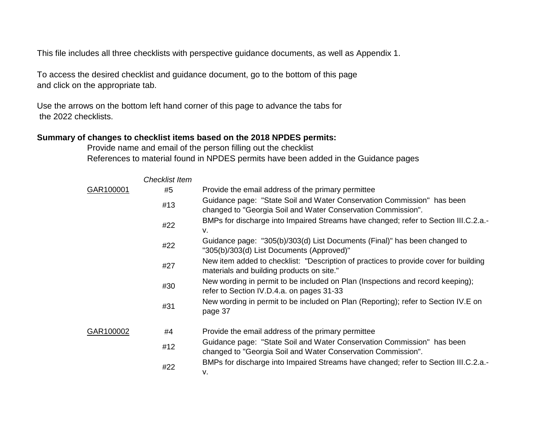This file includes all three checklists with perspective guidance documents, as well as Appendix 1.

To access the desired checklist and guidance document, go to the bottom of this page and click on the appropriate tab.

Use the arrows on the bottom left hand corner of this page to advance the tabs for the 2022 checklists.

# **Summary of changes to checklist items based on the 2018 NPDES permits:**

Provide name and email of the person filling out the checklist References to material found in NPDES permits have been added in the Guidance pages

|           | <b>Checklist Item</b> |                                                                                                                                        |
|-----------|-----------------------|----------------------------------------------------------------------------------------------------------------------------------------|
| GAR100001 | #5                    | Provide the email address of the primary permittee                                                                                     |
|           | #13                   | Guidance page: "State Soil and Water Conservation Commission" has been<br>changed to "Georgia Soil and Water Conservation Commission". |
|           | #22                   | BMPs for discharge into Impaired Streams have changed; refer to Section III.C.2.a.-<br>v.                                              |
|           | #22                   | Guidance page: "305(b)/303(d) List Documents (Final)" has been changed to<br>"305(b)/303(d) List Documents (Approved)"                 |
|           | #27                   | New item added to checklist: "Description of practices to provide cover for building<br>materials and building products on site."      |
|           | #30                   | New wording in permit to be included on Plan (Inspections and record keeping);<br>refer to Section IV.D.4.a. on pages 31-33            |
|           | #31                   | New wording in permit to be included on Plan (Reporting); refer to Section IV.E on<br>page 37                                          |
| GAR100002 | #4                    | Provide the email address of the primary permittee                                                                                     |
|           | #12                   | Guidance page: "State Soil and Water Conservation Commission" has been<br>changed to "Georgia Soil and Water Conservation Commission". |
|           | #22                   | BMPs for discharge into Impaired Streams have changed; refer to Section III.C.2.a.-<br>v.                                              |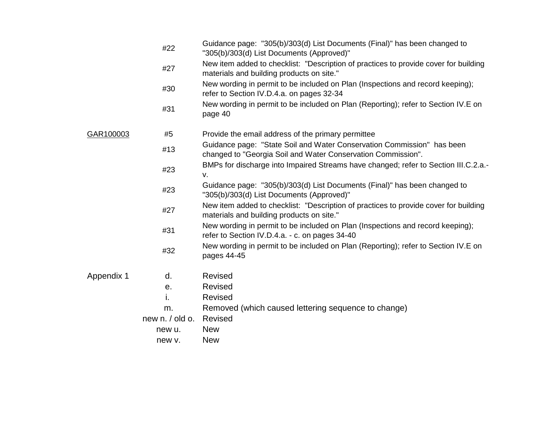|            | #22             | Guidance page: "305(b)/303(d) List Documents (Final)" has been changed to<br>"305(b)/303(d) List Documents (Approved)"                 |
|------------|-----------------|----------------------------------------------------------------------------------------------------------------------------------------|
|            | #27             | New item added to checklist: "Description of practices to provide cover for building<br>materials and building products on site."      |
|            | #30             | New wording in permit to be included on Plan (Inspections and record keeping);<br>refer to Section IV.D.4.a. on pages 32-34            |
|            | #31             | New wording in permit to be included on Plan (Reporting); refer to Section IV.E on<br>page 40                                          |
| GAR100003  | #5              | Provide the email address of the primary permittee                                                                                     |
|            | #13             | Guidance page: "State Soil and Water Conservation Commission" has been<br>changed to "Georgia Soil and Water Conservation Commission". |
|            | #23             | BMPs for discharge into Impaired Streams have changed; refer to Section III.C.2.a.-<br>v.                                              |
|            | #23             | Guidance page: "305(b)/303(d) List Documents (Final)" has been changed to<br>"305(b)/303(d) List Documents (Approved)"                 |
|            | #27             | New item added to checklist: "Description of practices to provide cover for building<br>materials and building products on site."      |
|            | #31             | New wording in permit to be included on Plan (Inspections and record keeping);<br>refer to Section IV.D.4.a. - c. on pages 34-40       |
|            | #32             | New wording in permit to be included on Plan (Reporting); refer to Section IV.E on<br>pages 44-45                                      |
| Appendix 1 | d.              | <b>Revised</b>                                                                                                                         |
|            | е.              | <b>Revised</b>                                                                                                                         |
|            | i.              | Revised                                                                                                                                |
|            | m.              | Removed (which caused lettering sequence to change)                                                                                    |
|            | new n. / old o. | Revised                                                                                                                                |
|            | new u.          | <b>New</b>                                                                                                                             |
|            | new v.          | <b>New</b>                                                                                                                             |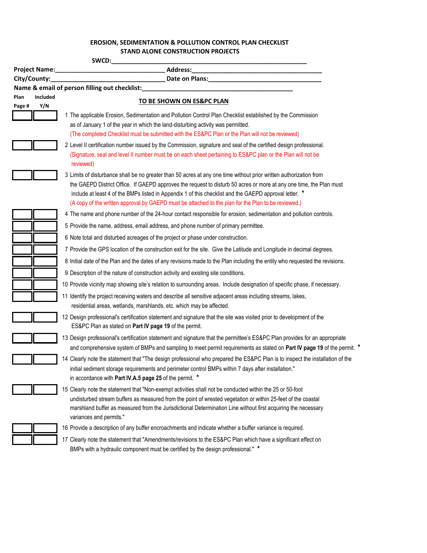# **EROSION, SEDIMENTATION & POLLUTION CONTROL PLAN CHECKLIST EROSION, SEDIMENTATION & POLLUTION CONTROL PLAN CHECKLIST STAND ALONE CONSTRUCTION PROJECTS**

| SWCD:            |                                                                                                                                                                                                                                                                                                                                                                                                                                                            |  |  |
|------------------|------------------------------------------------------------------------------------------------------------------------------------------------------------------------------------------------------------------------------------------------------------------------------------------------------------------------------------------------------------------------------------------------------------------------------------------------------------|--|--|
| Project Name:    | Address: Andreas Address: Address: Address: Address: Address: Address: Address: Address: Address: A<br><u> 1989 - Johann Harry Harry Harry Harry Harry Harry Harry Harry Harry Harry Harry Harry Harry Harry Harry Harry</u>                                                                                                                                                                                                                               |  |  |
| City/County:     | Date on Plans: Note of Plans and Plans and Plans and Plans and Plans and Plans and Plans and Plans and Plans and Plans and Plans and Plans and Plans and Plans and Plans and Plans and Plans and Plans and Plans and Plans and                                                                                                                                                                                                                             |  |  |
| Included<br>Plan | Name & email of person filling out checklist:                                                                                                                                                                                                                                                                                                                                                                                                              |  |  |
| Y/N<br>Page #    | TO BE SHOWN ON ES&PC PLAN                                                                                                                                                                                                                                                                                                                                                                                                                                  |  |  |
|                  | 1 The applicable Erosion, Sedimentation and Pollution Control Plan Checklist established by the Commission<br>as of January 1 of the year in which the land-disturbing activity was permitted.<br>(The completed Checklist must be submitted with the ES&PC Plan or the Plan will not be reviewed)                                                                                                                                                         |  |  |
|                  | 2 Level II certification number issued by the Commission, signature and seal of the certified design professional.<br>(Signature, seal and level II number must be on each sheet pertaining to ES&PC plan or the Plan will not be<br>reviewed)                                                                                                                                                                                                             |  |  |
|                  | 3 Limits of disturbance shall be no greater than 50 acres at any one time without prior written authorization from<br>the GAEPD District Office. If GAEPD approves the request to disturb 50 acres or more at any one time, the Plan must<br>include at least 4 of the BMPs listed in Appendix 1 of this checklist and the GAEPD approval letter. *<br>(A copy of the written approval by GAEPD must be attached to the plan for the Plan to be reviewed.) |  |  |
|                  | 4 The name and phone number of the 24-hour contact responsible for erosion, sedimentation and pollution controls.                                                                                                                                                                                                                                                                                                                                          |  |  |
|                  | 5 Provide the name, address, email address, and phone number of primary permittee.                                                                                                                                                                                                                                                                                                                                                                         |  |  |
|                  | 6 Note total and disturbed acreages of the project or phase under construction.                                                                                                                                                                                                                                                                                                                                                                            |  |  |
|                  | 7 Provide the GPS location of the construction exit for the site. Give the Latitude and Longitude in decimal degrees.                                                                                                                                                                                                                                                                                                                                      |  |  |
|                  | 8 Initial date of the Plan and the dates of any revisions made to the Plan including the entity who requested the revisions.                                                                                                                                                                                                                                                                                                                               |  |  |
|                  | 9 Description of the nature of construction activity and existing site conditions.                                                                                                                                                                                                                                                                                                                                                                         |  |  |
|                  | 10 Provide vicinity map showing site's relation to surrounding areas. Include designation of specific phase, if necessary.                                                                                                                                                                                                                                                                                                                                 |  |  |
|                  | 11 Identify the project receiving waters and describe all sensitive adjacent areas including streams, lakes,<br>residential areas, wetlands, marshlands, etc. which may be affected.                                                                                                                                                                                                                                                                       |  |  |
|                  | 12 Design professional's certification statement and signature that the site was visited prior to development of the<br>ES&PC Plan as stated on Part IV page 19 of the permit.                                                                                                                                                                                                                                                                             |  |  |
|                  | 13 Design professional's certification statement and signature that the permittee's ES&PC Plan provides for an appropriate<br>and comprehensive system of BMPs and sampling to meet permit requirements as stated on Part IV page 19 of the permit. *                                                                                                                                                                                                      |  |  |
|                  | 14 Clearly note the statement that "The design professional who prepared the ES&PC Plan is to inspect the installation of the<br>initial sediment storage requirements and perimeter control BMPs within 7 days after installation."<br>in accordance with Part IV.A.5 page 25 of the permit. *                                                                                                                                                            |  |  |
|                  | 15 Clearly note the statement that "Non-exempt activities shall not be conducted within the 25 or 50-foot<br>undisturbed stream buffers as measured from the point of wrested vegetation or within 25-feet of the coastal<br>marshland buffer as measured from the Jurisdictional Determination Line without first acquiring the necessary<br>variances and permits."                                                                                      |  |  |
|                  | 16 Provide a description of any buffer encroachments and indicate whether a buffer variance is required.                                                                                                                                                                                                                                                                                                                                                   |  |  |
|                  | 17 Clearly note the statement that "Amendments/revisions to the ES&PC Plan which have a significant effect on                                                                                                                                                                                                                                                                                                                                              |  |  |

BMPs with a hydraulic component must be certified by the design professional." **\***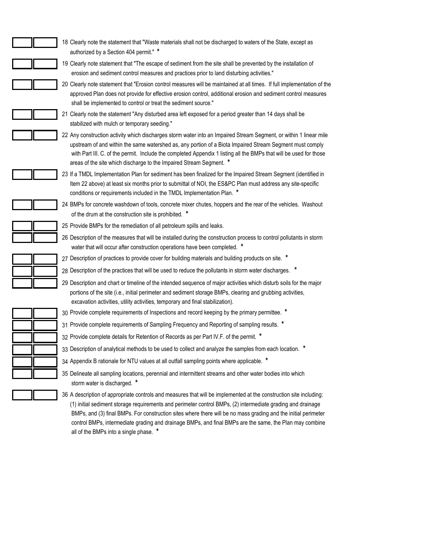| 18 Clearly note the statement that "Waste materials shall not be discharged to waters of the State, except as<br>authorized by a Section 404 permit." *                                                                                                                                                                                                                                                                                                        |
|----------------------------------------------------------------------------------------------------------------------------------------------------------------------------------------------------------------------------------------------------------------------------------------------------------------------------------------------------------------------------------------------------------------------------------------------------------------|
| 19 Clearly note statement that "The escape of sediment from the site shall be prevented by the installation of                                                                                                                                                                                                                                                                                                                                                 |
| erosion and sediment control measures and practices prior to land disturbing activities."                                                                                                                                                                                                                                                                                                                                                                      |
| 20 Clearly note statement that "Erosion control measures will be maintained at all times. If full implementation of the<br>approved Plan does not provide for effective erosion control, additional erosion and sediment control measures<br>shall be implemented to control or treat the sediment source."                                                                                                                                                    |
| 21 Clearly note the statement "Any disturbed area left exposed for a period greater than 14 days shall be<br>stabilized with mulch or temporary seeding."                                                                                                                                                                                                                                                                                                      |
| 22 Any construction activity which discharges storm water into an Impaired Stream Segment, or within 1 linear mile<br>upstream of and within the same watershed as, any portion of a Biota Impaired Stream Segment must comply<br>with Part III. C. of the permit. Include the completed Appendix 1 listing all the BMPs that will be used for those<br>areas of the site which discharge to the Impaired Stream Segment. *                                    |
| 23 If a TMDL Implementation Plan for sediment has been finalized for the Impaired Stream Segment (identified in<br>Item 22 above) at least six months prior to submittal of NOI, the ES&PC Plan must address any site-specific<br>conditions or requirements included in the TMDL Implementation Plan. *                                                                                                                                                       |
| 24 BMPs for concrete washdown of tools, concrete mixer chutes, hoppers and the rear of the vehicles. Washout<br>of the drum at the construction site is prohibited. *                                                                                                                                                                                                                                                                                          |
| 25 Provide BMPs for the remediation of all petroleum spills and leaks.                                                                                                                                                                                                                                                                                                                                                                                         |
| 26 Description of the measures that will be installed during the construction process to control pollutants in storm<br>water that will occur after construction operations have been completed. *                                                                                                                                                                                                                                                             |
| 27 Description of practices to provide cover for building materials and building products on site. *                                                                                                                                                                                                                                                                                                                                                           |
| 28 Description of the practices that will be used to reduce the pollutants in storm water discharges. *                                                                                                                                                                                                                                                                                                                                                        |
| 29 Description and chart or timeline of the intended sequence of major activities which disturb soils for the major<br>portions of the site (i.e., initial perimeter and sediment storage BMPs, clearing and grubbing activities,<br>excavation activities, utility activities, temporary and final stabilization).                                                                                                                                            |
| 30 Provide complete requirements of Inspections and record keeping by the primary permittee. *                                                                                                                                                                                                                                                                                                                                                                 |
| 31 Provide complete requirements of Sampling Frequency and Reporting of sampling results. *                                                                                                                                                                                                                                                                                                                                                                    |
| 32 Provide complete details for Retention of Records as per Part IV.F. of the permit. *                                                                                                                                                                                                                                                                                                                                                                        |
| 33 Description of analytical methods to be used to collect and analyze the samples from each location. *                                                                                                                                                                                                                                                                                                                                                       |
| 34 Appendix B rationale for NTU values at all outfall sampling points where applicable. *                                                                                                                                                                                                                                                                                                                                                                      |
| 35 Delineate all sampling locations, perennial and intermittent streams and other water bodies into which<br>storm water is discharged. *                                                                                                                                                                                                                                                                                                                      |
| 36 A description of appropriate controls and measures that will be implemented at the construction site including:<br>(1) initial sediment storage requirements and perimeter control BMPs, (2) intermediate grading and drainage<br>BMPs, and (3) final BMPs. For construction sites where there will be no mass grading and the initial perimeter<br>control BMPs, intermediate grading and drainage BMPs, and final BMPs are the same, the Plan may combine |

all of the BMPs into a single phase. **\***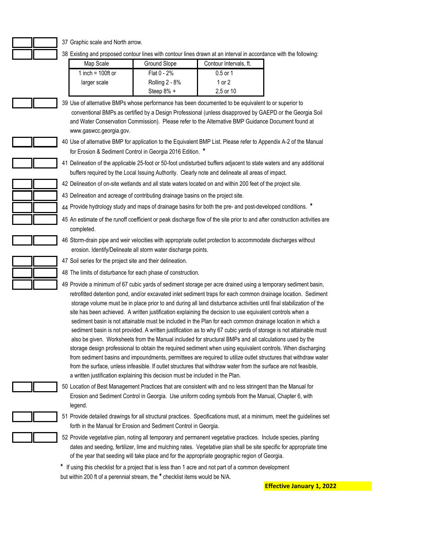### 37 Graphic scale and North arrow.

38 Existing and proposed contour lines with contour lines drawn at an interval in accordance with the following:

| Map Scale            | Ground Slope   | Contour Intervals, ft. |
|----------------------|----------------|------------------------|
| 1 inch = $100$ ft or | Flat $0 - 2%$  | $0.5$ or 1             |
| larger scale         | Rolling 2 - 8% | 1 or 2                 |
|                      | Steep $8\%$ +  | 2,5 or 10              |

- 39 Use of alternative BMPs whose performance has been documented to be equivalent to or superior to conventional BMPs as certified by a Design Professional (unless disapproved by GAEPD or the Georgia Soil and Water Conservation Commission). Please refer to the Alternative BMP Guidance Document found at www.gaswcc.georgia.gov.
	- 40 Use of alternative BMP for application to the Equivalent BMP List. Please refer to Appendix A-2 of the Manual for Erosion & Sediment Control in Georgia 2016 Edition. **\***
	- 41 Delineation of the applicable 25-foot or 50-foot undisturbed buffers adjacent to state waters and any additional buffers required by the Local Issuing Authority. Clearly note and delineate all areas of impact.
	- 42 Delineation of on-site wetlands and all state waters located on and within 200 feet of the project site.
	- 43 Delineation and acreage of contributing drainage basins on the project site.
	- 44 Provide hydrology study and maps of drainage basins for both the pre- and post-developed conditions. **\***
	- 45 An estimate of the runoff coefficient or peak discharge flow of the site prior to and after construction activities are completed.
	- 46 Storm-drain pipe and weir velocities with appropriate outlet protection to accommodate discharges without erosion. Identify/Delineate all storm water discharge points.
	- 47 Soil series for the project site and their delineation.
	- 48 The limits of disturbance for each phase of construction.
	- 49 Provide a minimum of 67 cubic yards of sediment storage per acre drained using a temporary sediment basin, retrofitted detention pond, and/or excavated inlet sediment traps for each common drainage location. Sediment storage volume must be in place prior to and during all land disturbance activities until final stabilization of the site has been achieved. A written justification explaining the decision to use equivalent controls when a sediment basin is not attainable must be included in the Plan for each common drainage location in which a sediment basin is not provided. A written justification as to why 67 cubic yards of storage is not attainable must also be given. Worksheets from the Manual included for structural BMPs and all calculations used by the storage design professional to obtain the required sediment when using equivalent controls. When discharging from sediment basins and impoundments, permittees are required to utilize outlet structures that withdraw water from the surface, unless infeasible. If outlet structures that withdraw water from the surface are not feasible, a written justification explaining this decision must be included in the Plan.
	- 50 Location of Best Management Practices that are consistent with and no less stringent than the Manual for Erosion and Sediment Control in Georgia. Use uniform coding symbols from the Manual, Chapter 6, with legend.
	- 51 Provide detailed drawings for all structural practices. Specifications must, at a minimum, meet the guidelines set forth in the Manual for Erosion and Sediment Control in Georgia.
	- 52 Provide vegetative plan, noting all temporary and permanent vegetative practices. Include species, planting dates and seeding, fertilizer, lime and mulching rates. Vegetative plan shall be site specific for appropriate time of the year that seeding will take place and for the appropriate geographic region of Georgia.
	- **\*** If using this checklist for a project that is less than 1 acre and not part of a common development but within 200 ft of a perennial stream, the **\*** checklist items would be N/A.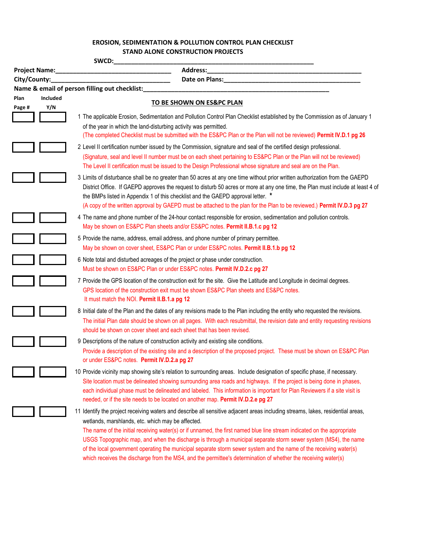### **EROSION, SEDIMENTATION & POLLUTION CONTROL PLAN CHECKLIST EROSION, SEDIMENTATION & POLLUTION CONTROL PLAN CHECKLIST STAND ALONE CONSTRUCTION PROJECTS**

|              |                      | SWCD:                                                                                                                                                                                                                                                                                                                                                                                                                                                                                                                                                    |
|--------------|----------------------|----------------------------------------------------------------------------------------------------------------------------------------------------------------------------------------------------------------------------------------------------------------------------------------------------------------------------------------------------------------------------------------------------------------------------------------------------------------------------------------------------------------------------------------------------------|
|              | <b>Project Name:</b> | Address:<br>the control of the control of the control of the control of the control of the control of the control of the control of the control of the control of the control of the control of the control of the control of the control                                                                                                                                                                                                                                                                                                                |
| City/County: |                      | Date on Plans: Note of Plans and Plans and Plans and Plans and Plans and Plans and Plans and Plans and Plans and Plans and Plans and Plans and Plans and Plans and Plans and Plans and Plans and Plans and Plans and Plans and                                                                                                                                                                                                                                                                                                                           |
|              |                      | Name & email of person filling out checklist:                                                                                                                                                                                                                                                                                                                                                                                                                                                                                                            |
| Plan         | Included             | TO BE SHOWN ON ES&PC PLAN                                                                                                                                                                                                                                                                                                                                                                                                                                                                                                                                |
| Page #       | Y/N                  | 1 The applicable Erosion, Sedimentation and Pollution Control Plan Checklist established by the Commission as of January 1<br>of the year in which the land-disturbing activity was permitted.<br>(The completed Checklist must be submitted with the ES&PC Plan or the Plan will not be reviewed) Permit IV.D.1 pg 26                                                                                                                                                                                                                                   |
|              |                      | 2 Level II certification number issued by the Commission, signature and seal of the certified design professional.<br>(Signature, seal and level II number must be on each sheet pertaining to ES&PC Plan or the Plan will not be reviewed)<br>The Level II certification must be issued to the Design Professional whose signature and seal are on the Plan.                                                                                                                                                                                            |
|              |                      | 3 Limits of disturbance shall be no greater than 50 acres at any one time without prior written authorization from the GAEPD<br>District Office. If GAEPD approves the request to disturb 50 acres or more at any one time, the Plan must include at least 4 of<br>the BMPs listed in Appendix 1 of this checklist and the GAEPD approval letter. *<br>(A copy of the written approval by GAEPD must be attached to the plan for the Plan to be reviewed.) Permit IV.D.3 pg 27                                                                           |
|              |                      | 4 The name and phone number of the 24-hour contact responsible for erosion, sedimentation and pollution controls.<br>May be shown on ES&PC Plan sheets and/or ES&PC notes. Permit II.B.1.c pg 12                                                                                                                                                                                                                                                                                                                                                         |
|              |                      | 5 Provide the name, address, email address, and phone number of primary permittee.<br>May be shown on cover sheet, ES&PC Plan or under ES&PC notes. Permit II.B.1.b pg 12                                                                                                                                                                                                                                                                                                                                                                                |
|              |                      | 6 Note total and disturbed acreages of the project or phase under construction.<br>Must be shown on ES&PC Plan or under ES&PC notes. Permit IV.D.2.c pg 27                                                                                                                                                                                                                                                                                                                                                                                               |
|              |                      | 7 Provide the GPS location of the construction exit for the site. Give the Latitude and Longitude in decimal degrees.<br>GPS location of the construction exit must be shown ES&PC Plan sheets and ES&PC notes.<br>It must match the NOI. Permit II.B.1.a pg 12                                                                                                                                                                                                                                                                                          |
|              |                      | 8 Initial date of the Plan and the dates of any revisions made to the Plan including the entity who requested the revisions.<br>The initial Plan date should be shown on all pages. With each resubmittal, the revision date and entity requesting revisions<br>should be shown on cover sheet and each sheet that has been revised.                                                                                                                                                                                                                     |
|              |                      | 9 Descriptions of the nature of construction activity and existing site conditions.<br>Provide a description of the existing site and a description of the proposed project. These must be shown on ES&PC Plan<br>or under ES&PC notes. Permit IV.D.2.a pg 27                                                                                                                                                                                                                                                                                            |
|              |                      | 10 Provide vicinity map showing site's relation to surrounding areas. Include designation of specific phase, if necessary.<br>Site location must be delineated showing surrounding area roads and highways. If the project is being done in phases,<br>each individual phase must be delineated and labeled. This information is important for Plan Reviewers if a site visit is<br>needed, or if the site needs to be located on another map. Permit IV.D.2.e pg 27                                                                                     |
|              |                      | 11 Identify the project receiving waters and describe all sensitive adjacent areas including streams, lakes, residential areas,<br>wetlands, marshlands, etc. which may be affected.<br>The name of the initial receiving water(s) or if unnamed, the first named blue line stream indicated on the appropriate<br>USGS Topographic map, and when the discharge is through a municipal separate storm sewer system (MS4), the name<br>of the local government operating the municipal separate storm sewer system and the name of the receiving water(s) |

which receives the discharge from the MS4, and the permittee's determination of whether the receiving water(s)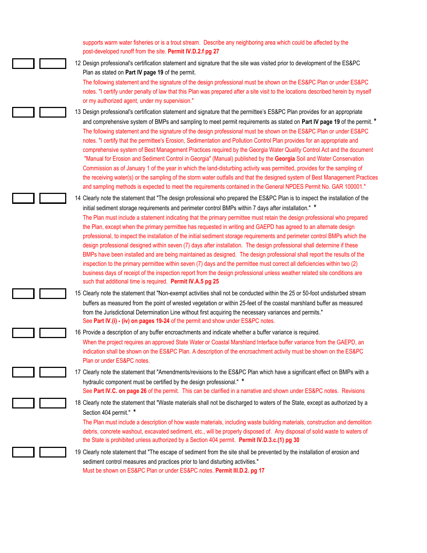supports warm water fisheries or is a trout stream. Describe any neighboring area which could be affected by the post-developed runoff from the site. **Permit IV.D.2.f pg 27**

12 Design professional's certification statement and signature that the site was visited prior to development of the ES&PC Plan as stated on **Part IV page 19** of the permit.

The following statement and the signature of the design professional must be shown on the ES&PC Plan or under ES&PC notes. "I certify under penalty of law that this Plan was prepared after a site visit to the locations described herein by myself or my authorized agent, under my supervision."

13 Design professional's certification statement and signature that the permittee's ES&PC Plan provides for an appropriate and comprehensive system of BMPs and sampling to meet permit requirements as stated on **Part IV page 19** of the permit. **\*** The following statement and the signature of the design professional must be shown on the ES&PC Plan or under ES&PC notes. "I certify that the permittee's Erosion, Sedimentation and Pollution Control Plan provides for an appropriate and comprehensive system of Best Management Practices required by the Georgia Water Quality Control Act and the document "Manual for Erosion and Sediment Control in Georgia" (Manual) published by the **Georgia** Soil and Water Conservation Commission as of January 1 of the year in which the land-disturbing activity was permitted, provides for the sampling of the receiving water(s) or the sampling of the storm water outfalls and that the designed system of Best Management Practices and sampling methods is expected to meet the requirements contained in the General NPDES Permit No. GAR 100001."

14 Clearly note the statement that "The design professional who prepared the ES&PC Plan is to inspect the installation of the initial sediment storage requirements and perimeter control BMPs within 7 days after installation." **\*** The Plan must include a statement indicating that the primary permittee must retain the design professional who prepared the Plan, except when the primary permittee has requested in writing and GAEPD has agreed to an alternate design professional, to inspect the installation of the initial sediment storage requirements and perimeter control BMPs which the design professional designed within seven (7) days after installation. The design professional shall determine if these BMPs have been installed and are being maintained as designed. The design professional shall report the results of the inspection to the primary permittee within seven (7) days and the permittee must correct all deficiencies within two (2) business days of receipt of the inspection report from the design professional unless weather related site conditions are such that additional time is required. **Permit IV.A.5 pg 25**

15 Clearly note the statement that "Non-exempt activities shall not be conducted within the 25 or 50-foot undisturbed stream buffers as measured from the point of wrested vegetation or within 25-feet of the coastal marshland buffer as measured from the Jurisdictional Determination Line without first acquiring the necessary variances and permits." See **Part IV.(i) - (iv) on pages 19-24** of the permit and show under ES&PC notes.

16 Provide a description of any buffer encroachments and indicate whether a buffer variance is required. When the project requires an approved State Water or Coastal Marshland Interface buffer variance from the GAEPD, an indication shall be shown on the ES&PC Plan. A description of the encroachment activity must be shown on the ES&PC Plan or under ES&PC notes.

17 Clearly note the statement that "Amendments/revisions to the ES&PC Plan which have a significant effect on BMPs with a hydraulic component must be certified by the design professional." **\***

See **Part IV.C. on page 26** of the permit. This can be clarified in a narrative and shown under ES&PC notes. Revisions

18 Clearly note the statement that "Waste materials shall not be discharged to waters of the State, except as authorized by a Section 404 permit." **\***

The Plan must include a description of how waste materials, including waste building materials, construction and demolition debris, concrete washout, excavated sediment, etc., will be properly disposed of. Any disposal of solid waste to waters of the State is prohibited unless authorized by a Section 404 permit. **Permit IV.D.3.c.(1) pg 30**

19 Clearly note statement that "The escape of sediment from the site shall be prevented by the installation of erosion and sediment control measures and practices prior to land disturbing activities." Must be shown on ES&PC Plan or under ES&PC notes. **Permit III.D.2. pg 17**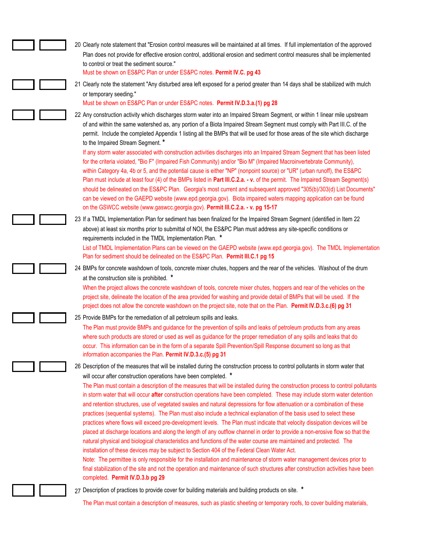| 20 Clearly note statement that "Erosion control measures will be maintained at all times. If full implementation of the approved                                                                                                                                                                                                                                                                                                                                                                                                                                                                                                                                                                                                                                                                                                                                                                                                                                                                                                                                                                                                                                                                                                                                                                         |
|----------------------------------------------------------------------------------------------------------------------------------------------------------------------------------------------------------------------------------------------------------------------------------------------------------------------------------------------------------------------------------------------------------------------------------------------------------------------------------------------------------------------------------------------------------------------------------------------------------------------------------------------------------------------------------------------------------------------------------------------------------------------------------------------------------------------------------------------------------------------------------------------------------------------------------------------------------------------------------------------------------------------------------------------------------------------------------------------------------------------------------------------------------------------------------------------------------------------------------------------------------------------------------------------------------|
| Plan does not provide for effective erosion control, additional erosion and sediment control measures shall be implemented                                                                                                                                                                                                                                                                                                                                                                                                                                                                                                                                                                                                                                                                                                                                                                                                                                                                                                                                                                                                                                                                                                                                                                               |
| to control or treat the sediment source."                                                                                                                                                                                                                                                                                                                                                                                                                                                                                                                                                                                                                                                                                                                                                                                                                                                                                                                                                                                                                                                                                                                                                                                                                                                                |
| Must be shown on ES&PC Plan or under ES&PC notes. Permit IV.C. pg 43                                                                                                                                                                                                                                                                                                                                                                                                                                                                                                                                                                                                                                                                                                                                                                                                                                                                                                                                                                                                                                                                                                                                                                                                                                     |
| 21 Clearly note the statement "Any disturbed area left exposed for a period greater than 14 days shall be stabilized with mulch<br>or temporary seeding."                                                                                                                                                                                                                                                                                                                                                                                                                                                                                                                                                                                                                                                                                                                                                                                                                                                                                                                                                                                                                                                                                                                                                |
| Must be shown on ES&PC Plan or under ES&PC notes. Permit IV.D.3.a.(1) pg 28                                                                                                                                                                                                                                                                                                                                                                                                                                                                                                                                                                                                                                                                                                                                                                                                                                                                                                                                                                                                                                                                                                                                                                                                                              |
| 22 Any construction activity which discharges storm water into an Impaired Stream Segment, or within 1 linear mile upstream<br>of and within the same watershed as, any portion of a Biota Impaired Stream Segment must comply with Part III.C. of the<br>permit. Include the completed Appendix 1 listing all the BMPs that will be used for those areas of the site which discharge<br>to the Impaired Stream Segment. *<br>If any storm water associated with construction activities discharges into an Impaired Stream Segment that has been listed                                                                                                                                                                                                                                                                                                                                                                                                                                                                                                                                                                                                                                                                                                                                                 |
| for the criteria violated, "Bio F" (Impaired Fish Community) and/or "Bio M" (Impaired Macroinvertebrate Community),<br>within Category 4a, 4b or 5, and the potential cause is either "NP" (nonpoint source) or "UR" (urban runoff), the ES&PC<br>Plan must include at least four (4) of the BMPs listed in Part III.C.2.a. - v. of the permit. The Impaired Stream Segment(s)<br>should be delineated on the ES&PC Plan. Georgia's most current and subsequent approved "305(b)/303(d) List Documents"<br>can be viewed on the GAEPD website (www.epd.georgia.gov). Biota impaired waters mapping application can be found<br>on the GSWCC website (www.gaswcc.georgia.gov). Permit III.C.2.a. - v. pg 15-17                                                                                                                                                                                                                                                                                                                                                                                                                                                                                                                                                                                            |
| 23 If a TMDL Implementation Plan for sediment has been finalized for the Impaired Stream Segment (identified in Item 22<br>above) at least six months prior to submittal of NOI, the ES&PC Plan must address any site-specific conditions or<br>requirements included in the TMDL Implementation Plan. *                                                                                                                                                                                                                                                                                                                                                                                                                                                                                                                                                                                                                                                                                                                                                                                                                                                                                                                                                                                                 |
| List of TMDL Implementation Plans can be viewed on the GAEPD website (www.epd.georgia.gov). The TMDL Implementation<br>Plan for sediment should be delineated on the ES&PC Plan. Permit III.C.1 pg 15                                                                                                                                                                                                                                                                                                                                                                                                                                                                                                                                                                                                                                                                                                                                                                                                                                                                                                                                                                                                                                                                                                    |
| 24 BMPs for concrete washdown of tools, concrete mixer chutes, hoppers and the rear of the vehicles. Washout of the drum                                                                                                                                                                                                                                                                                                                                                                                                                                                                                                                                                                                                                                                                                                                                                                                                                                                                                                                                                                                                                                                                                                                                                                                 |
| at the construction site is prohibited. *                                                                                                                                                                                                                                                                                                                                                                                                                                                                                                                                                                                                                                                                                                                                                                                                                                                                                                                                                                                                                                                                                                                                                                                                                                                                |
| When the project allows the concrete washdown of tools, concrete mixer chutes, hoppers and rear of the vehicles on the<br>project site, delineate the location of the area provided for washing and provide detail of BMPs that will be used. If the<br>project does not allow the concrete washdown on the project site, note that on the Plan. Permit IV.D.3.c.(6) pg 31                                                                                                                                                                                                                                                                                                                                                                                                                                                                                                                                                                                                                                                                                                                                                                                                                                                                                                                               |
| 25 Provide BMPs for the remediation of all petroleum spills and leaks.                                                                                                                                                                                                                                                                                                                                                                                                                                                                                                                                                                                                                                                                                                                                                                                                                                                                                                                                                                                                                                                                                                                                                                                                                                   |
| The Plan must provide BMPs and guidance for the prevention of spills and leaks of petroleum products from any areas<br>where such products are stored or used as well as guidance for the proper remediation of any spills and leaks that do<br>occur. This information can be in the form of a separate Spill Prevention/Spill Response document so long as that<br>information accompanies the Plan. Permit IV.D.3.c.(5) pg 31                                                                                                                                                                                                                                                                                                                                                                                                                                                                                                                                                                                                                                                                                                                                                                                                                                                                         |
| 26 Description of the measures that will be installed during the construction process to control pollutants in storm water that<br>will occur after construction operations have been completed. *                                                                                                                                                                                                                                                                                                                                                                                                                                                                                                                                                                                                                                                                                                                                                                                                                                                                                                                                                                                                                                                                                                       |
| The Plan must contain a description of the measures that will be installed during the construction process to control pollutants<br>in storm water that will occur after construction operations have been completed. These may include storm water detention<br>and retention structures, use of vegetated swales and natural depressions for flow attenuation or a combination of these<br>practices (sequential systems). The Plan must also include a technical explanation of the basis used to select these<br>practices where flows will exceed pre-development levels. The Plan must indicate that velocity dissipation devices will be<br>placed at discharge locations and along the length of any outflow channel in order to provide a non-erosive flow so that the<br>natural physical and biological characteristics and functions of the water course are maintained and protected. The<br>installation of these devices may be subject to Section 404 of the Federal Clean Water Act.<br>Note: The permittee is only responsible for the installation and maintenance of storm water management devices prior to<br>final stabilization of the site and not the operation and maintenance of such structures after construction activities have been<br>completed. Permit IV.D.3.b pg 29 |
| 27 Description of practices to provide cover for building materials and building products on site. *                                                                                                                                                                                                                                                                                                                                                                                                                                                                                                                                                                                                                                                                                                                                                                                                                                                                                                                                                                                                                                                                                                                                                                                                     |
| The Plan must contain a description of measures, such as plastic sheeting or temporary roofs, to cover building materials,                                                                                                                                                                                                                                                                                                                                                                                                                                                                                                                                                                                                                                                                                                                                                                                                                                                                                                                                                                                                                                                                                                                                                                               |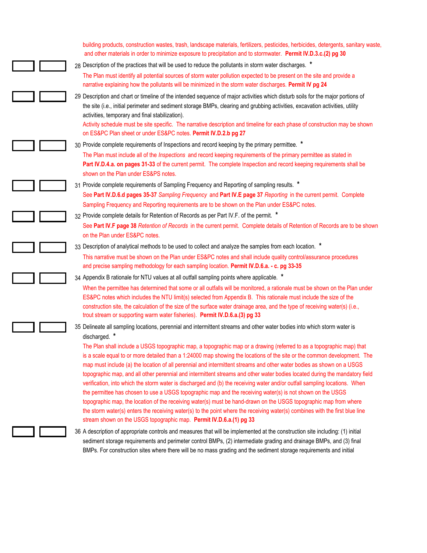| building products, construction wastes, trash, landscape materials, fertilizers, pesticides, herbicides, detergents, sanitary waste,<br>and other materials in order to minimize exposure to precipitation and to stormwater. Permit IV.D.3.c.(2) pg 30                                                                                                                                                                                                                                                                                                                                                                                                                                                                                                                                                                                                                                                                                                                                                                                                                           |
|-----------------------------------------------------------------------------------------------------------------------------------------------------------------------------------------------------------------------------------------------------------------------------------------------------------------------------------------------------------------------------------------------------------------------------------------------------------------------------------------------------------------------------------------------------------------------------------------------------------------------------------------------------------------------------------------------------------------------------------------------------------------------------------------------------------------------------------------------------------------------------------------------------------------------------------------------------------------------------------------------------------------------------------------------------------------------------------|
| 28 Description of the practices that will be used to reduce the pollutants in storm water discharges. *                                                                                                                                                                                                                                                                                                                                                                                                                                                                                                                                                                                                                                                                                                                                                                                                                                                                                                                                                                           |
| The Plan must identify all potential sources of storm water pollution expected to be present on the site and provide a<br>narrative explaining how the pollutants will be minimized in the storm water discharges. Permit IV pg 24                                                                                                                                                                                                                                                                                                                                                                                                                                                                                                                                                                                                                                                                                                                                                                                                                                                |
| 29 Description and chart or timeline of the intended sequence of major activities which disturb soils for the major portions of<br>the site (i.e., initial perimeter and sediment storage BMPs, clearing and grubbing activities, excavation activities, utility<br>activities, temporary and final stabilization).<br>Activity schedule must be site specific. The narrative description and timeline for each phase of construction may be shown                                                                                                                                                                                                                                                                                                                                                                                                                                                                                                                                                                                                                                |
| on ES&PC Plan sheet or under ES&PC notes. Permit IV.D.2.b pg 27                                                                                                                                                                                                                                                                                                                                                                                                                                                                                                                                                                                                                                                                                                                                                                                                                                                                                                                                                                                                                   |
| 30 Provide complete requirements of Inspections and record keeping by the primary permittee. *                                                                                                                                                                                                                                                                                                                                                                                                                                                                                                                                                                                                                                                                                                                                                                                                                                                                                                                                                                                    |
| The Plan must include all of the <i>Inspections</i> and record keeping requirements of the primary permittee as stated in<br>Part IV.D.4.a. on pages 31-33 of the current permit. The complete Inspection and record keeping requirements shall be<br>shown on the Plan under ES&PS notes.                                                                                                                                                                                                                                                                                                                                                                                                                                                                                                                                                                                                                                                                                                                                                                                        |
| 31 Provide complete requirements of Sampling Frequency and Reporting of sampling results. *                                                                                                                                                                                                                                                                                                                                                                                                                                                                                                                                                                                                                                                                                                                                                                                                                                                                                                                                                                                       |
| See Part IV.D.6.d pages 35-37 Sampling Frequency and Part IV.E page 37 Reporting in the current permit. Complete<br>Sampling Frequency and Reporting requirements are to be shown on the Plan under ES&PC notes.                                                                                                                                                                                                                                                                                                                                                                                                                                                                                                                                                                                                                                                                                                                                                                                                                                                                  |
| 32 Provide complete details for Retention of Records as per Part IV.F. of the permit. *                                                                                                                                                                                                                                                                                                                                                                                                                                                                                                                                                                                                                                                                                                                                                                                                                                                                                                                                                                                           |
| See Part IV.F page 38 Retention of Records in the current permit. Complete details of Retention of Records are to be shown<br>on the Plan under ES&PC notes.                                                                                                                                                                                                                                                                                                                                                                                                                                                                                                                                                                                                                                                                                                                                                                                                                                                                                                                      |
| 33 Description of analytical methods to be used to collect and analyze the samples from each location. *                                                                                                                                                                                                                                                                                                                                                                                                                                                                                                                                                                                                                                                                                                                                                                                                                                                                                                                                                                          |
| This narrative must be shown on the Plan under ES&PC notes and shall include quality control/assurance procedures<br>and precise sampling methodology for each sampling location. Permit IV.D.6.a. - c. pg 33-35                                                                                                                                                                                                                                                                                                                                                                                                                                                                                                                                                                                                                                                                                                                                                                                                                                                                  |
| 34 Appendix B rationale for NTU values at all outfall sampling points where applicable. *                                                                                                                                                                                                                                                                                                                                                                                                                                                                                                                                                                                                                                                                                                                                                                                                                                                                                                                                                                                         |
| When the permittee has determined that some or all outfalls will be monitored, a rationale must be shown on the Plan under<br>ES&PC notes which includes the NTU limit(s) selected from Appendix B. This rationale must include the size of the<br>construction site, the calculation of the size of the surface water drainage area, and the type of receiving water(s) (i.e.,<br>trout stream or supporting warm water fisheries). Permit IV.D.6.a.(3) pg 33                                                                                                                                                                                                                                                                                                                                                                                                                                                                                                                                                                                                                    |
| 35 Delineate all sampling locations, perennial and intermittent streams and other water bodies into which storm water is<br>discharged. *                                                                                                                                                                                                                                                                                                                                                                                                                                                                                                                                                                                                                                                                                                                                                                                                                                                                                                                                         |
| The Plan shall include a USGS topographic map, a topographic map or a drawing (referred to as a topographic map) that<br>is a scale equal to or more detailed than a 1:24000 map showing the locations of the site or the common development. The<br>map must include (a) the location of all perennial and intermittent streams and other water bodies as shown on a USGS<br>topographic map, and all other perennial and intermittent streams and other water bodies located during the mandatory field<br>verification, into which the storm water is discharged and (b) the receiving water and/or outfall sampling locations. When<br>the permittee has chosen to use a USGS topographic map and the receiving water(s) is not shown on the USGS<br>topographic map, the location of the receiving water(s) must be hand-drawn on the USGS topographic map from where<br>the storm water(s) enters the receiving water(s) to the point where the receiving water(s) combines with the first blue line<br>stream shown on the USGS topographic map. Permit IV.D.6.a.(1) pg 33 |
| 36 A description of appropriate controls and measures that will be implemented at the construction site including: (1) initial<br>sediment storage requirements and perimeter control BMPs, (2) intermediate grading and drainage BMPs, and (3) final<br>BMPs. For construction sites where there will be no mass grading and the sediment storage requirements and initial                                                                                                                                                                                                                                                                                                                                                                                                                                                                                                                                                                                                                                                                                                       |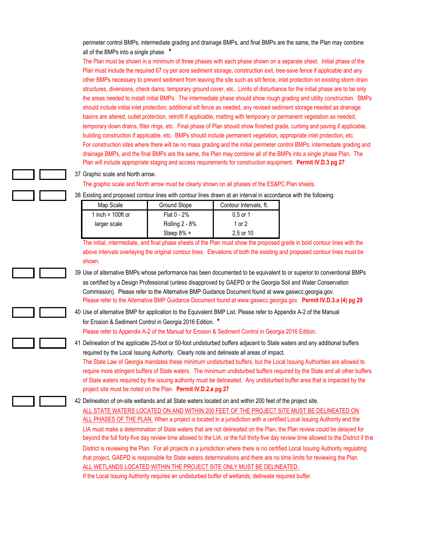perimeter control BMPs, intermediate grading and drainage BMPs, and final BMPs are the same, the Plan may combine all of the BMPs into a single phase. **\***

The Plan must be shown in a minimum of three phases with each phase shown on a separate sheet. Initial phase of the Plan must include the required 67 cy per acre sediment storage, construction exit, tree-save fence if applicable and any other BMPs necessary to prevent sediment from leaving the site such as silt fence, inlet protection on existing storm drain structures, diversions, check dams, temporary ground cover, etc. Limits of disturbance for the initial phase are to be only the areas needed to install initial BMPs. The intermediate phase should show rough grading and utility construction. BMPs should include initial inlet protection, additional silt fence as needed, any revised sediment storage needed as drainage basins are altered, outlet protection, retrofit if applicable, matting with temporary or permanent vegetation as needed, temporary down drains, filter rings, etc. Final phase of Plan should show finished grade, curbing and paving if applicable, building construction if applicable, etc. BMPs should include permanent vegetation, appropriate inlet protection, etc. For construction sites where there will be no mass grading and the initial perimeter control BMPs, intermediate grading and drainage BMPs, and the final BMPs are the same, the Plan may combine all of the BMPs into a single phase Plan. The Plan will include appropriate staging and access requirements for construction equipment. **Permit IV.D.3 pg 27**

37 Graphic scale and North arrow.

The graphic scale and North arrow must be clearly shown on all phases of the ES&PC Plan sheets.

| Map Scale            | Ground Slope          | Contour Intervals, ft. |
|----------------------|-----------------------|------------------------|
| 1 inch = $100$ ft or | Flat $0 - 2%$         | $0.5$ or 1             |
| larger scale         | <b>Rolling 2 - 8%</b> | 1 or $2$               |
|                      | Steep 8% +            | 2,5 or 10              |

38 Existing and proposed contour lines with contour lines drawn at an interval in accordance with the following:

The initial, intermediate, and final phase sheets of the Plan must show the proposed grade in bold contour lines with the above intervals overlaying the original contour lines. Elevations of both the existing and proposed contour lines must be shown.

39 Use of alternative BMPs whose performance has been documented to be equivalent to or superior to conventional BMPs as certified by a Design Professional (unless disapproved by GAEPD or the Georgia Soil and Water Conservation Commission). Please refer to the Alternative BMP Guidance Document found at www.gaswcc.georgia.gov. Please refer to the Alternative BMP Guidance Document found at www.gaswcc.georgia.gov. **Permit IV.D.3.a (4) pg 29**

40 Use of alternative BMP for application to the Equivalent BMP List. Please refer to Appendix A-2 of the Manual for Erosion & Sediment Control in Georgia 2016 Edition. **\***

Please refer to Appendix A-2 of the Manual for Erosion & Sediment Control in Georgia 2016 Edition.

41 Delineation of the applicable 25-foot or 50-foot undisturbed buffers adjacent to State waters and any additional buffers required by the Local Issuing Authority. Clearly note and delineate all areas of impact. The State Law of Georgia mandates these minimum undisturbed buffers, but the Local Issuing Authorities are allowed to require more stringent buffers of State waters. The minimum undisturbed buffers required by the State and all other buffers of State waters required by the issuing authority must be delineated. Any undisturbed buffer area that is impacted by the project site must be noted on the Plan. **Permit IV.D.2.e pg 27**

42 Delineation of on-site wetlands and all State waters located on and within 200 feet of the project site.

ALL STATE WATERS LOCATED ON AND WITHIN 200 FEET OF THE PROJECT SITE MUST BE DELINEATED ON ALL PHASES OF THE PLAN. When a project is located in a jurisdiction with a certified Local Issuing Authority and the LIA must make a determination of State waters that are not delineated on the Plan, the Plan review could be delayed for beyond the full forty-five day review time allowed to the LIA, or the full thirty-five day review time allowed to the District if the District is reviewing the Plan. For all projects in a jurisdiction where there is no certified Local Issuing Authority regulating that project, GAEPD is responsible for State waters determinations and there are no time limits for reviewing the Plan. ALL WETLANDS LOCATED WITHIN THE PROJECT SITE ONLY MUST BE DELINEATED.

If the Local Issuing Authority requires an undisturbed buffer of wetlands, delineate required buffer.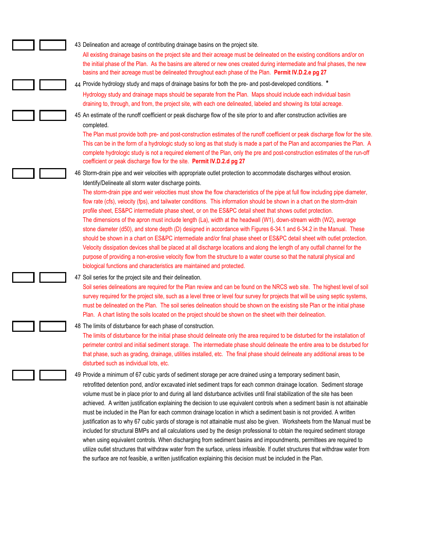43 Delineation and acreage of contributing drainage basins on the project site. All existing drainage basins on the project site and their acreage must be delineated on the existing conditions and/or on the initial phase of the Plan. As the basins are altered or new ones created during intermediate and fnal phases, the new basins and their acreage must be delineated throughout each phase of the Plan. **Permit IV.D.2.e pg 27** 44 Provide hydrology study and maps of drainage basins for both the pre- and post-developed conditions. **\*** Hydrology study and drainage maps should be separate from the Plan. Maps should include each individual basin draining to, through, and from, the project site, with each one delineated, labeled and showing its total acreage. 45 An estimate of the runoff coefficient or peak discharge flow of the site prior to and after construction activities are completed. The Plan must provide both pre- and post-construction estimates of the runoff coefficient or peak discharge flow for the site. This can be in the form of a hydrologic study so long as that study is made a part of the Plan and accompanies the Plan. A complete hydrologic study is not a required element of the Plan, only the pre and post-construction estimates of the run-off coefficient or peak discharge flow for the site. **Permit IV.D.2.d pg 27** 46 Storm-drain pipe and weir velocities with appropriate outlet protection to accommodate discharges without erosion. Identify/Delineate all storm water discharge points. The storm-drain pipe and weir velocities must show the flow characteristics of the pipe at full flow including pipe diameter, flow rate (cfs), velocity (fps), and tailwater conditions. This information should be shown in a chart on the storm-drain profile sheet, ES&PC intermediate phase sheet, or on the ES&PC detail sheet that shows outlet protection. The dimensions of the apron must include length (La), width at the headwall (W1), down-stream width (W2), average stone diameter (d50), and stone depth (D) designed in accordance with Figures 6-34.1 and 6-34.2 in the Manual. These should be shown in a chart on ES&PC intermediate and/or final phase sheet or ES&PC detail sheet with outlet protection. Velocity dissipation devices shall be placed at all discharge locations and along the length of any outfall channel for the purpose of providing a non-erosive velocity flow from the structure to a water course so that the natural physical and biological functions and characteristics are maintained and protected. 47 Soil series for the project site and their delineation. Soil series delineations are required for the Plan review and can be found on the NRCS web site. The highest level of soil survey required for the project site, such as a level three or level four survey for projects that will be using septic systems, must be delineated on the Plan. The soil series delineation should be shown on the existing site Plan or the initial phase Plan. A chart listing the soils located on the project should be shown on the sheet with their delineation. 48 The limits of disturbance for each phase of construction. The limits of disturbance for the initial phase should delineate only the area required to be disturbed for the installation of perimeter control and initial sediment storage. The intermediate phase should delineate the entire area to be disturbed for that phase, such as grading, drainage, utilities installed, etc. The final phase should delineate any additional areas to be disturbed such as individual lots, etc. 49 Provide a minimum of 67 cubic yards of sediment storage per acre drained using a temporary sediment basin, retrofitted detention pond, and/or excavated inlet sediment traps for each common drainage location. Sediment storage volume must be in place prior to and during all land disturbance activities until final stabilization of the site has been achieved. A written justification explaining the decision to use equivalent controls when a sediment basin is not attainable must be included in the Plan for each common drainage location in which a sediment basin is not provided. A written justification as to why 67 cubic yards of storage is not attainable must also be given. Worksheets from the Manual must be included for structural BMPs and all calculations used by the design professional to obtain the required sediment storage

> when using equivalent controls. When discharging from sediment basins and impoundments, permittees are required to utilize outlet structures that withdraw water from the surface, unless infeasible. If outlet structures that withdraw water from

the surface are not feasible, a written justification explaining this decision must be included in the Plan.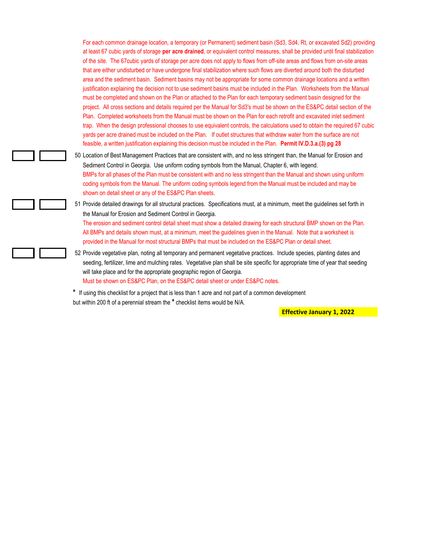For each common drainage location, a temporary (or Permanent) sediment basin (Sd3, Sd4, Rt, or excavated Sd2) providing at least 67 cubic yards of storage **per acre drained**, or equivalent control measures, shall be provided until final stabilization of the site. The 67cubic yards of storage per acre does not apply to flows from off-site areas and flows from on-site areas that are either undisturbed or have undergone final stabilization where such flows are diverted around both the disturbed area and the sediment basin. Sediment basins may not be appropriate for some common drainage locations and a written justification explaining the decision not to use sediment basins must be included in the Plan. Worksheets from the Manual must be completed and shown on the Plan or attached to the Plan for each temporary sediment basin designed for the project. All cross sections and details required per the Manual for Sd3's must be shown on the ES&PC detail section of the Plan. Completed worksheets from the Manual must be shown on the Plan for each retrofit and excavated inlet sediment trap. When the design professional chooses to use equivalent controls, the calculations used to obtain the required 67 cubic yards per acre drained must be included on the Plan. If outlet structures that withdraw water from the surface are not feasible, a written justification explaining this decision must be included in the Plan. **Permit IV.D.3.a.(3) pg 28**

50 Location of Best Management Practices that are consistent with, and no less stringent than, the Manual for Erosion and Sediment Control in Georgia. Use uniform coding symbols from the Manual, Chapter 6, with legend. BMPs for all phases of the Plan must be consistent with and no less stringent than the Manual and shown using uniform coding symbols from the Manual. The uniform coding symbols legend from the Manual must be included and may be shown on detail sheet or any of the ES&PC Plan sheets.

51 Provide detailed drawings for all structural practices. Specifications must, at a minimum, meet the guidelines set forth in the Manual for Erosion and Sediment Control in Georgia. The erosion and sediment control detail sheet must show a detailed drawing for each structural BMP shown on the Plan. All BMPs and details shown must, at a minimum, meet the guidelines given in the Manual. Note that a worksheet is

provided in the Manual for most structural BMPs that must be included on the ES&PC Plan or detail sheet.

52 Provide vegetative plan, noting all temporary and permanent vegetative practices. Include species, planting dates and seeding, fertilizer, lime and mulching rates. Vegetative plan shall be site specific for appropriate time of year that seeding will take place and for the appropriate geographic region of Georgia. Must be shown on ES&PC Plan, on the ES&PC detail sheet or under ES&PC notes.

**\*** If using this checklist for a project that is less than 1 acre and not part of a common development but within 200 ft of a perennial stream the **\*** checklist items would be N/A.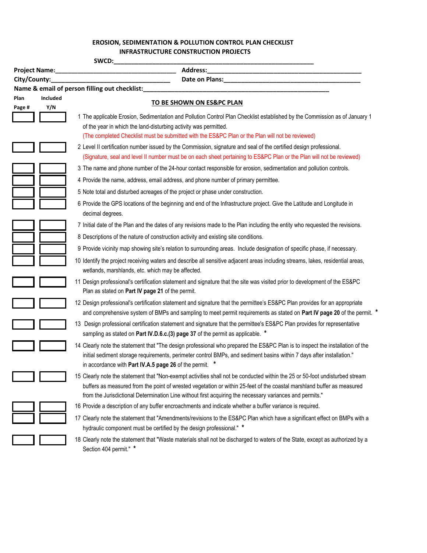## **EROSION, SEDIMENTATION & POLLUTION CONTROL PLAN CHECKLIST EROSION, SEDIMENTATION & POLLUTION CONTROL PLAN CHECKLIST INFRASTRUCTURE CONSTRUCTION PROJECTS**

| Address:<br><b>Project Name:</b><br><u> 1950 - Johann John Stone, markin amerikan ba</u> |                        |                                                                                                                                                                                                                                                                                                                                                                    |
|------------------------------------------------------------------------------------------|------------------------|--------------------------------------------------------------------------------------------------------------------------------------------------------------------------------------------------------------------------------------------------------------------------------------------------------------------------------------------------------------------|
|                                                                                          | City/County:           |                                                                                                                                                                                                                                                                                                                                                                    |
|                                                                                          |                        | Name & email of person filling out checklist:                                                                                                                                                                                                                                                                                                                      |
| Plan<br>Page #                                                                           | <b>Included</b><br>Y/N | TO BE SHOWN ON ES&PC PLAN                                                                                                                                                                                                                                                                                                                                          |
|                                                                                          |                        | 1 The applicable Erosion, Sedimentation and Pollution Control Plan Checklist established by the Commission as of January 1<br>of the year in which the land-disturbing activity was permitted.<br>(The completed Checklist must be submitted with the ES&PC Plan or the Plan will not be reviewed)                                                                 |
|                                                                                          |                        | 2 Level II certification number issued by the Commission, signature and seal of the certified design professional.<br>(Signature, seal and level II number must be on each sheet pertaining to ES&PC Plan or the Plan will not be reviewed)                                                                                                                        |
|                                                                                          |                        | 3 The name and phone number of the 24-hour contact responsible for erosion, sedimentation and pollution controls.                                                                                                                                                                                                                                                  |
|                                                                                          |                        | 4 Provide the name, address, email address, and phone number of primary permittee.                                                                                                                                                                                                                                                                                 |
|                                                                                          |                        | 5 Note total and disturbed acreages of the project or phase under construction.                                                                                                                                                                                                                                                                                    |
|                                                                                          |                        | 6 Provide the GPS locations of the beginning and end of the Infrastructure project. Give the Latitude and Longitude in<br>decimal degrees.                                                                                                                                                                                                                         |
|                                                                                          |                        | 7 Initial date of the Plan and the dates of any revisions made to the Plan including the entity who requested the revisions.                                                                                                                                                                                                                                       |
|                                                                                          |                        | 8 Descriptions of the nature of construction activity and existing site conditions.                                                                                                                                                                                                                                                                                |
|                                                                                          |                        | 9 Provide vicinity map showing site's relation to surrounding areas. Include designation of specific phase, if necessary.                                                                                                                                                                                                                                          |
|                                                                                          |                        | 10 Identify the project receiving waters and describe all sensitive adjacent areas including streams, lakes, residential areas,<br>wetlands, marshlands, etc. which may be affected.                                                                                                                                                                               |
|                                                                                          |                        | 11 Design professional's certification statement and signature that the site was visited prior to development of the ES&PC<br>Plan as stated on Part IV page 21 of the permit.                                                                                                                                                                                     |
|                                                                                          |                        | 12 Design professional's certification statement and signature that the permittee's ES&PC Plan provides for an appropriate<br>and comprehensive system of BMPs and sampling to meet permit requirements as stated on Part IV page 20 of the permit. *                                                                                                              |
|                                                                                          |                        | 13 Design professional certification statement and signature that the permittee's ES&PC Plan provides for representative<br>sampling as stated on Part IV.D.6.c.(3) page 37 of the permit as applicable. *                                                                                                                                                         |
|                                                                                          |                        | 14 Clearly note the statement that "The design professional who prepared the ES&PC Plan is to inspect the installation of the<br>initial sediment storage requirements, perimeter control BMPs, and sediment basins within 7 days after installation."<br>in accordance with Part IV.A.5 page 26 of the permit.                                                    |
|                                                                                          |                        | 15 Clearly note the statement that "Non-exempt activities shall not be conducted within the 25 or 50-foot undisturbed stream<br>buffers as measured from the point of wrested vegetation or within 25-feet of the coastal marshland buffer as measured<br>from the Jurisdictional Determination Line without first acquiring the necessary variances and permits." |
|                                                                                          |                        | 16 Provide a description of any buffer encroachments and indicate whether a buffer variance is required.                                                                                                                                                                                                                                                           |
|                                                                                          |                        | 17 Clearly note the statement that "Amendments/revisions to the ES&PC Plan which have a significant effect on BMPs with a<br>hydraulic component must be certified by the design professional." *                                                                                                                                                                  |
|                                                                                          |                        | 18 Clearly note the statement that "Waste materials shall not be discharged to waters of the State, except as authorized by a<br>Section 404 permit." *                                                                                                                                                                                                            |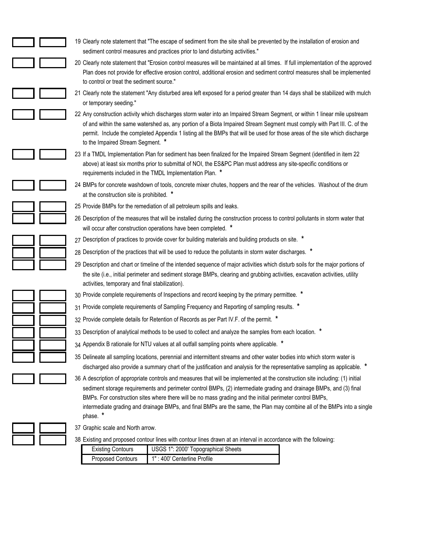| 19 Clearly note statement that "The escape of sediment from the site shall be prevented by the installation of erosion and<br>sediment control measures and practices prior to land disturbing activities."                                                                                                                                                                                                                                                                                              |
|----------------------------------------------------------------------------------------------------------------------------------------------------------------------------------------------------------------------------------------------------------------------------------------------------------------------------------------------------------------------------------------------------------------------------------------------------------------------------------------------------------|
| 20 Clearly note statement that "Erosion control measures will be maintained at all times. If full implementation of the approved<br>Plan does not provide for effective erosion control, additional erosion and sediment control measures shall be implemented<br>to control or treat the sediment source."                                                                                                                                                                                              |
| 21 Clearly note the statement "Any disturbed area left exposed for a period greater than 14 days shall be stabilized with mulch<br>or temporary seeding."                                                                                                                                                                                                                                                                                                                                                |
| 22 Any construction activity which discharges storm water into an Impaired Stream Segment, or within 1 linear mile upstream<br>of and within the same watershed as, any portion of a Biota Impaired Stream Segment must comply with Part III. C. of the<br>permit. Include the completed Appendix 1 listing all the BMPs that will be used for those areas of the site which discharge<br>to the Impaired Stream Segment. *                                                                              |
| 23 If a TMDL Implementation Plan for sediment has been finalized for the Impaired Stream Segment (identified in item 22<br>above) at least six months prior to submittal of NOI, the ES&PC Plan must address any site-specific conditions or<br>requirements included in the TMDL Implementation Plan. *                                                                                                                                                                                                 |
| 24 BMPs for concrete washdown of tools, concrete mixer chutes, hoppers and the rear of the vehicles. Washout of the drum<br>at the construction site is prohibited. *                                                                                                                                                                                                                                                                                                                                    |
| 25 Provide BMPs for the remediation of all petroleum spills and leaks.                                                                                                                                                                                                                                                                                                                                                                                                                                   |
| 26 Description of the measures that will be installed during the construction process to control pollutants in storm water that<br>will occur after construction operations have been completed. *                                                                                                                                                                                                                                                                                                       |
| 27 Description of practices to provide cover for building materials and building products on site. *                                                                                                                                                                                                                                                                                                                                                                                                     |
| 28 Description of the practices that will be used to reduce the pollutants in storm water discharges. *                                                                                                                                                                                                                                                                                                                                                                                                  |
| 29 Description and chart or timeline of the intended sequence of major activities which disturb soils for the major portions of<br>the site (i.e., initial perimeter and sediment storage BMPs, clearing and grubbing activities, excavation activities, utility<br>activities, temporary and final stabilization).                                                                                                                                                                                      |
| 30 Provide complete requirements of Inspections and record keeping by the primary permittee. *                                                                                                                                                                                                                                                                                                                                                                                                           |
| 31 Provide complete requirements of Sampling Frequency and Reporting of sampling results. *                                                                                                                                                                                                                                                                                                                                                                                                              |
| 32 Provide complete details for Retention of Records as per Part IV.F. of the permit. *                                                                                                                                                                                                                                                                                                                                                                                                                  |
| 33 Description of analytical methods to be used to collect and analyze the samples from each location. *                                                                                                                                                                                                                                                                                                                                                                                                 |
| 34 Appendix B rationale for NTU values at all outfall sampling points where applicable. *                                                                                                                                                                                                                                                                                                                                                                                                                |
| 35 Delineate all sampling locations, perennial and intermittent streams and other water bodies into which storm water is<br>discharged also provide a summary chart of the justification and analysis for the representative sampling as applicable. *                                                                                                                                                                                                                                                   |
| 36 A description of appropriate controls and measures that will be implemented at the construction site including: (1) initial<br>sediment storage requirements and perimeter control BMPs, (2) intermediate grading and drainage BMPs, and (3) final<br>BMPs. For construction sites where there will be no mass grading and the initial perimeter control BMPs,<br>intermediate grading and drainage BMPs, and final BMPs are the same, the Plan may combine all of the BMPs into a single<br>phase. * |
| 37 Graphic scale and North arrow.                                                                                                                                                                                                                                                                                                                                                                                                                                                                        |
| 38 Existing and proposed contour lines with contour lines drawn at an interval in accordance with the following:                                                                                                                                                                                                                                                                                                                                                                                         |
| <b>Existing Contours</b><br>USGS 1": 2000' Topographical Sheets                                                                                                                                                                                                                                                                                                                                                                                                                                          |
| <b>Proposed Contours</b><br>1" : 400' Centerline Profile                                                                                                                                                                                                                                                                                                                                                                                                                                                 |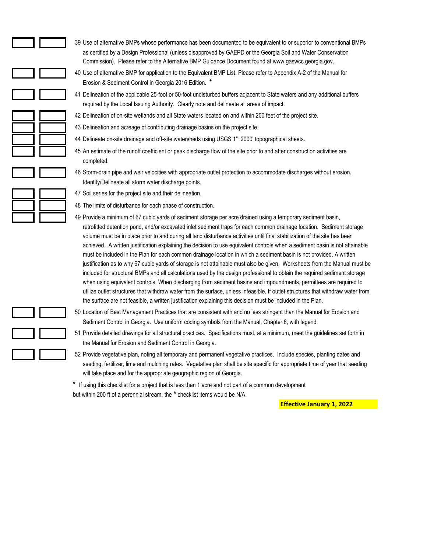- 39 Use of alternative BMPs whose performance has been documented to be equivalent to or superior to conventional BMPs as certified by a Design Professional (unless disapproved by GAEPD or the Georgia Soil and Water Conservation Commission). Please refer to the Alternative BMP Guidance Document found at www.gaswcc.georgia.gov.
- 40 Use of alternative BMP for application to the Equivalent BMP List. Please refer to Appendix A-2 of the Manual for Erosion & Sediment Control in Georgia 2016 Edition. **\***
- 41 Delineation of the applicable 25-foot or 50-foot undisturbed buffers adjacent to State waters and any additional buffers required by the Local Issuing Authority. Clearly note and delineate all areas of impact.
- 42 Delineation of on-site wetlands and all State waters located on and within 200 feet of the project site.
- 43 Delineation and acreage of contributing drainage basins on the project site.
- 44 Delineate on-site drainage and off-site watersheds using USGS 1" :2000' topographical sheets.
- 45 An estimate of the runoff coefficient or peak discharge flow of the site prior to and after construction activities are completed.
- 46 Storm-drain pipe and weir velocities with appropriate outlet protection to accommodate discharges without erosion. Identify/Delineate all storm water discharge points.

- 47 Soil series for the project site and their delineation.
- 48 The limits of disturbance for each phase of construction.
- 49 Provide a minimum of 67 cubic yards of sediment storage per acre drained using a temporary sediment basin, retrofitted detention pond, and/or excavated inlet sediment traps for each common drainage location. Sediment storage volume must be in place prior to and during all land disturbance activities until final stabilization of the site has been achieved. A written justification explaining the decision to use equivalent controls when a sediment basin is not attainable must be included in the Plan for each common drainage location in which a sediment basin is not provided. A written justification as to why 67 cubic yards of storage is not attainable must also be given. Worksheets from the Manual must be included for structural BMPs and all calculations used by the design professional to obtain the required sediment storage when using equivalent controls. When discharging from sediment basins and impoundments, permittees are required to utilize outlet structures that withdraw water from the surface, unless infeasible. If outlet structures that withdraw water from the surface are not feasible, a written justification explaining this decision must be included in the Plan.
- 50 Location of Best Management Practices that are consistent with and no less stringent than the Manual for Erosion and Sediment Control in Georgia. Use uniform coding symbols from the Manual, Chapter 6, with legend.
- 51 Provide detailed drawings for all structural practices. Specifications must, at a minimum, meet the guidelines set forth in the Manual for Erosion and Sediment Control in Georgia.
- 52 Provide vegetative plan, noting all temporary and permanent vegetative practices. Include species, planting dates and seeding, fertilizer, lime and mulching rates. Vegetative plan shall be site specific for appropriate time of year that seeding will take place and for the appropriate geographic region of Georgia.

**\*** If using this checklist for a project that is less than 1 acre and not part of a common development but within 200 ft of a perennial stream, the **\*** checklist items would be N/A.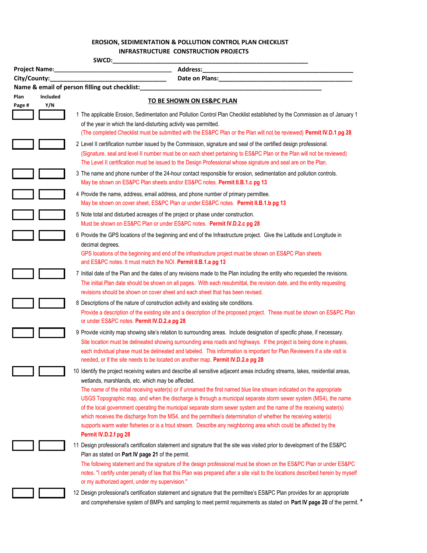## **EROSION, SEDIMENTATION & POLLUTION CONTROL PLAN CHECKLIST EROSION, SEDIMENTATION & POLLUTION CONTROL PLAN CHECKLIST INFRASTRUCTURE CONSTRUCTION PROJECTS**

| SWCD:          |                        |                                                                                                                                                                                                                                                                                                                                                                                                                                                                                                                                                                                                                                                                                                                                                                                                                        |
|----------------|------------------------|------------------------------------------------------------------------------------------------------------------------------------------------------------------------------------------------------------------------------------------------------------------------------------------------------------------------------------------------------------------------------------------------------------------------------------------------------------------------------------------------------------------------------------------------------------------------------------------------------------------------------------------------------------------------------------------------------------------------------------------------------------------------------------------------------------------------|
|                | Project Name:          | <b>Address:</b>                                                                                                                                                                                                                                                                                                                                                                                                                                                                                                                                                                                                                                                                                                                                                                                                        |
| City/County:   |                        |                                                                                                                                                                                                                                                                                                                                                                                                                                                                                                                                                                                                                                                                                                                                                                                                                        |
|                |                        | Name & email of person filling out checklist:                                                                                                                                                                                                                                                                                                                                                                                                                                                                                                                                                                                                                                                                                                                                                                          |
| Plan<br>Page # | <b>Included</b><br>Y/N | <b>TO BE SHOWN ON ES&amp;PC PLAN</b>                                                                                                                                                                                                                                                                                                                                                                                                                                                                                                                                                                                                                                                                                                                                                                                   |
|                |                        | 1 The applicable Erosion, Sedimentation and Pollution Control Plan Checklist established by the Commission as of January 1<br>of the year in which the land-disturbing activity was permitted.<br>(The completed Checklist must be submitted with the ES&PC Plan or the Plan will not be reviewed) Permit IV.D.1 pg 28                                                                                                                                                                                                                                                                                                                                                                                                                                                                                                 |
|                |                        | 2 Level II certification number issued by the Commission, signature and seal of the certified design professional.<br>(Signature, seal and level II number must be on each sheet pertaining to ES&PC Plan or the Plan will not be reviewed)<br>The Level II certification must be issued to the Design Professional whose signature and seal are on the Plan.                                                                                                                                                                                                                                                                                                                                                                                                                                                          |
|                |                        | 3 The name and phone number of the 24-hour contact responsible for erosion, sedimentation and pollution controls.<br>May be shown on ES&PC Plan sheets and/or ES&PC notes. Permit II.B.1.c pg 13                                                                                                                                                                                                                                                                                                                                                                                                                                                                                                                                                                                                                       |
|                |                        | 4 Provide the name, address, email address, and phone number of primary permittee.<br>May be shown on cover sheet, ES&PC Plan or under ES&PC notes. Permit II.B.1.b pg 13                                                                                                                                                                                                                                                                                                                                                                                                                                                                                                                                                                                                                                              |
|                |                        | 5 Note total and disturbed acreages of the project or phase under construction.<br>Must be shown on ES&PC Plan or under ES&PC notes. Permit IV.D.2.c pg 28                                                                                                                                                                                                                                                                                                                                                                                                                                                                                                                                                                                                                                                             |
|                |                        | 6 Provide the GPS locations of the beginning and end of the Infrastructure project. Give the Latitude and Longitude in<br>decimal degrees.<br>GPS locations of the beginning and end of the infrastructure project must be shown on ES&PC Plan sheets<br>and ES&PC notes. It must match the NOI. Permit II.B.1.a pg 13                                                                                                                                                                                                                                                                                                                                                                                                                                                                                                 |
|                |                        | 7 Initial date of the Plan and the dates of any revisions made to the Plan including the entity who requested the revisions.<br>The initial Plan date should be shown on all pages. With each resubmittal, the revision date, and the entity requesting<br>revisions should be shown on cover sheet and each sheet that has been revised.                                                                                                                                                                                                                                                                                                                                                                                                                                                                              |
|                |                        | 8 Descriptions of the nature of construction activity and existing site conditions.<br>Provide a description of the existing site and a description of the proposed project. These must be shown on ES&PC Plan<br>or under ES&PC notes. Permit IV.D.2.a pg 28                                                                                                                                                                                                                                                                                                                                                                                                                                                                                                                                                          |
|                |                        | 9 Provide vicinity map showing site's relation to surrounding areas. Include designation of specific phase, if necessary.<br>Site location must be delineated showing surrounding area roads and highways. If the project is being done in phases,<br>each individual phase must be delineated and labeled. This information is important for Plan Reviewers if a site visit is<br>needed, or if the site needs to be located on another map. Permit IV.D.2.e pg 28                                                                                                                                                                                                                                                                                                                                                    |
|                |                        | 10 Identify the project receiving waters and describe all sensitive adjacent areas including streams, lakes, residential areas,<br>wetlands, marshlands, etc. which may be affected.<br>The name of the initial receiving water(s) or if unnamed the first named blue line stream indicated on the appropriate<br>USGS Topographic map, and when the discharge is through a municipal separate storm sewer system (MS4), the name<br>of the local government operating the municipal separate storm sewer system and the name of the receiving water(s)<br>which receives the discharge from the MS4, and the permittee's determination of whether the receiving water(s)<br>supports warm water fisheries or is a trout stream. Describe any neighboring area which could be affected by the<br>Permit IV.D.2.f pg 28 |
|                |                        | 11 Design professional's certification statement and signature that the site was visited prior to development of the ES&PC<br>Plan as stated on Part IV page 21 of the permit.<br>The following statement and the signature of the design professional must be shown on the ES&PC Plan or under ES&PC<br>notes. "I certify under penalty of law that this Plan was prepared after a site visit to the locations described herein by myself<br>or my authorized agent, under my supervision."                                                                                                                                                                                                                                                                                                                           |
|                |                        | 12 Design professional's certification statement and signature that the permittee's ES&PC Plan provides for an appropriate<br>and comprehensive system of BMPs and sampling to meet permit requirements as stated on Part IV page 20 of the permit. *                                                                                                                                                                                                                                                                                                                                                                                                                                                                                                                                                                  |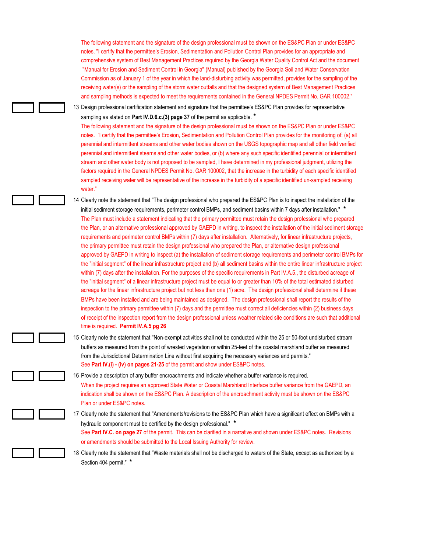The following statement and the signature of the design professional must be shown on the ES&PC Plan or under ES&PC notes. "I certify that the permittee's Erosion, Sedimentation and Pollution Control Plan provides for an appropriate and comprehensive system of Best Management Practices required by the Georgia Water Quality Control Act and the document "Manual for Erosion and Sediment Control in Georgia" (Manual) published by the Georgia Soil and Water Conservation Commission as of January 1 of the year in which the land-disturbing activity was permitted, provides for the sampling of the receiving water(s) or the sampling of the storm water outfalls and that the designed system of Best Management Practices and sampling methods is expected to meet the requirements contained in the General NPDES Permit No. GAR 100002."

13 Design professional certification statement and signature that the permittee's ES&PC Plan provides for representative sampling as stated on **Part IV.D.6.c.(3) page 37** of the permit as applicable. **\***

The following statement and the signature of the design professional must be shown on the ES&PC Plan or under ES&PC notes. "I certify that the permittee's Erosion, Sedimentation and Pollution Control Plan provides for the monitoring of: (a) all perennial and intermittent streams and other water bodies shown on the USGS topographic map and all other field verified perennial and intermittent steams and other water bodies, or (b) where any such specific identified perennial or intermittent stream and other water body is not proposed to be sampled, I have determined in my professional judgment, utilizing the factors required in the General NPDES Permit No. GAR 100002, that the increase in the turbidity of each specific identified sampled receiving water will be representative of the increase in the turbidity of a specific identified un-sampled receiving water."

14 Clearly note the statement that "The design professional who prepared the ES&PC Plan is to inspect the installation of the initial sediment storage requirements, perimeter control BMPs, and sediment basins within 7 days after installation." **\*** The Plan must include a statement indicating that the primary permittee must retain the design professional who prepared the Plan, or an alternative professional approved by GAEPD in writing, to inspect the installation of the initial sediment storage requirements and perimeter control BMPs within (7) days after installation. Alternatively, for linear infrastructure projects, the primary permittee must retain the design professional who prepared the Plan, or alternative design professional approved by GAEPD in writing to inspect (a) the installation of sediment storage requirements and perimeter control BMPs for the "initial segment" of the linear infrastructure project and (b) all sediment basins within the entire linear infrastructure project within (7) days after the installation. For the purposes of the specific requirements in Part IV.A.5., the disturbed acreage of the "initial segment" of a linear infrastructure project must be equal to or greater than 10% of the total estimated disturbed acreage for the linear infrastructure project but not less than one (1) acre. The design professional shall determine if these BMPs have been installed and are being maintained as designed. The design professional shall report the results of the inspection to the primary permittee within (7) days and the permittee must correct all deficiencies within (2) business days of receipt of the inspection report from the design professional unless weather related site conditions are such that additional time is required. **Permit IV.A.5 pg 26**

15 Clearly note the statement that "Non-exempt activities shall not be conducted within the 25 or 50-foot undisturbed stream buffers as measured from the point of wrested vegetation or within 25-feet of the coastal marshland buffer as measured from the Jurisdictional Determination Line without first acquiring the necessary variances and permits." See **Part IV.(i) - (iv) on pages 21-25** of the permit and show under ES&PC notes.

16 Provide a description of any buffer encroachments and indicate whether a buffer variance is required. When the project requires an approved State Water or Coastal Marshland Interface buffer variance from the GAEPD, an indication shall be shown on the ES&PC Plan. A description of the encroachment activity must be shown on the ES&PC Plan or under ES&PC notes.

17 Clearly note the statement that "Amendments/revisions to the ES&PC Plan which have a significant effect on BMPs with a hydraulic component must be certified by the design professional." **\*** See **Part IV.C. on page 27** of the permit. This can be clarified in a narrative and shown under ES&PC notes. Revisions or amendments should be submitted to the Local Issuing Authority for review.

18 Clearly note the statement that "Waste materials shall not be discharged to waters of the State, except as authorized by a Section 404 permit." **\***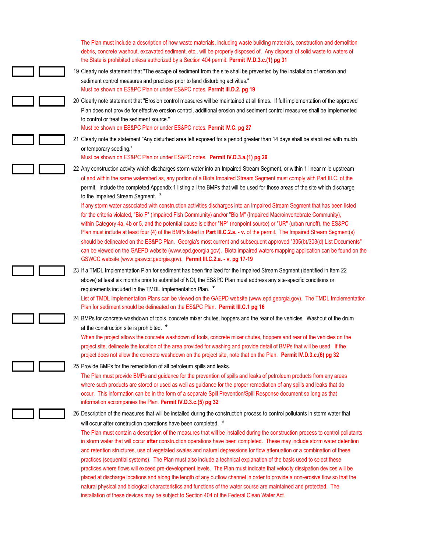| The Plan must include a description of how waste materials, including waste building materials, construction and demolition<br>debris, concrete washout, excavated sediment, etc., will be properly disposed of. Any disposal of solid waste to waters of<br>the State is prohibited unless authorized by a Section 404 permit. Permit IV.D.3.c.(1) pg 31                                                                                                                                                                                                                                                                                                                                                                                                                                                                                                                                                                                                                                                                                                                                                                                                                                                   |
|-------------------------------------------------------------------------------------------------------------------------------------------------------------------------------------------------------------------------------------------------------------------------------------------------------------------------------------------------------------------------------------------------------------------------------------------------------------------------------------------------------------------------------------------------------------------------------------------------------------------------------------------------------------------------------------------------------------------------------------------------------------------------------------------------------------------------------------------------------------------------------------------------------------------------------------------------------------------------------------------------------------------------------------------------------------------------------------------------------------------------------------------------------------------------------------------------------------|
| 19 Clearly note statement that "The escape of sediment from the site shall be prevented by the installation of erosion and<br>sediment control measures and practices prior to land disturbing activities."<br>Must be shown on ES&PC Plan or under ES&PC notes. Permit III.D.2. pg 19                                                                                                                                                                                                                                                                                                                                                                                                                                                                                                                                                                                                                                                                                                                                                                                                                                                                                                                      |
| 20 Clearly note statement that "Erosion control measures will be maintained at all times. If full implementation of the approved<br>Plan does not provide for effective erosion control, additional erosion and sediment control measures shall be implemented<br>to control or treat the sediment source."<br>Must be shown on ES&PC Plan or under ES&PC notes. Permit IV.C. pg 27                                                                                                                                                                                                                                                                                                                                                                                                                                                                                                                                                                                                                                                                                                                                                                                                                         |
| 21 Clearly note the statement "Any disturbed area left exposed for a period greater than 14 days shall be stabilized with mulch<br>or temporary seeding."<br>Must be shown on ES&PC Plan or under ES&PC notes. Permit IV.D.3.a.(1) pg 29                                                                                                                                                                                                                                                                                                                                                                                                                                                                                                                                                                                                                                                                                                                                                                                                                                                                                                                                                                    |
| 22 Any construction activity which discharges storm water into an Impaired Stream Segment, or within 1 linear mile upstream<br>of and within the same watershed as, any portion of a Biota Impaired Stream Segment must comply with Part III.C. of the<br>permit. Include the completed Appendix 1 listing all the BMPs that will be used for those areas of the site which discharge<br>to the Impaired Stream Segment. *                                                                                                                                                                                                                                                                                                                                                                                                                                                                                                                                                                                                                                                                                                                                                                                  |
| If any storm water associated with construction activities discharges into an Impaired Stream Segment that has been listed<br>for the criteria violated, "Bio F" (Impaired Fish Community) and/or "Bio M" (Impaired Macroinvertebrate Community),<br>within Category 4a, 4b or 5, and the potential cause is either "NP" (nonpoint source) or "UR" (urban runoff), the ES&PC<br>Plan must include at least four (4) of the BMPs listed in Part III.C.2.a. - v. of the permit. The Impaired Stream Segment(s)<br>should be delineated on the ES&PC Plan. Georgia's most current and subsequent approved "305(b)/303(d) List Documents"<br>can be viewed on the GAEPD website (www.epd.georgia.gov). Biota impaired waters mapping application can be found on the<br>GSWCC website (www.gaswcc.georgia.gov). Permit III.C.2.a. - v. pg 17-19                                                                                                                                                                                                                                                                                                                                                                 |
| 23 If a TMDL Implementation Plan for sediment has been finalized for the Impaired Stream Segment (identified in Item 22<br>above) at least six months prior to submittal of NOI, the ES&PC Plan must address any site-specific conditions or<br>requirements included in the TMDL Implementation Plan. *<br>List of TMDL Implementation Plans can be viewed on the GAEPD website (www.epd.georgia.gov). The TMDL Implementation<br>Plan for sediment should be delineated on the ES&PC Plan. Permit III.C.1 pg 16                                                                                                                                                                                                                                                                                                                                                                                                                                                                                                                                                                                                                                                                                           |
| 24 BMPs for concrete washdown of tools, concrete mixer chutes, hoppers and the rear of the vehicles. Washout of the drum<br>at the construction site is prohibited. *<br>When the project allows the concrete washdown of tools, concrete mixer chutes, hoppers and rear of the vehicles on the<br>project site, delineate the location of the area provided for washing and provide detail of BMPs that will be used. If the<br>project does not allow the concrete washdown on the project site, note that on the Plan. Permit IV.D.3.c.(6) pg 32                                                                                                                                                                                                                                                                                                                                                                                                                                                                                                                                                                                                                                                         |
| 25 Provide BMPs for the remediation of all petroleum spills and leaks.<br>The Plan must provide BMPs and guidance for the prevention of spills and leaks of petroleum products from any areas<br>where such products are stored or used as well as guidance for the proper remediation of any spills and leaks that do<br>occur. This information can be in the form of a separate Spill Prevention/Spill Response document so long as that<br>information accompanies the Plan. Permit IV.D.3.c.(5) pg 32                                                                                                                                                                                                                                                                                                                                                                                                                                                                                                                                                                                                                                                                                                  |
| 26 Description of the measures that will be installed during the construction process to control pollutants in storm water that<br>will occur after construction operations have been completed. *<br>The Plan must contain a description of the measures that will be installed during the construction process to control pollutants<br>in storm water that will occur after construction operations have been completed. These may include storm water detention<br>and retention structures, use of vegetated swales and natural depressions for flow attenuation or a combination of these<br>practices (sequential systems). The Plan must also include a technical explanation of the basis used to select these<br>practices where flows will exceed pre-development levels. The Plan must indicate that velocity dissipation devices will be<br>placed at discharge locations and along the length of any outflow channel in order to provide a non-erosive flow so that the<br>natural physical and biological characteristics and functions of the water course are maintained and protected. The<br>installation of these devices may be subject to Section 404 of the Federal Clean Water Act. |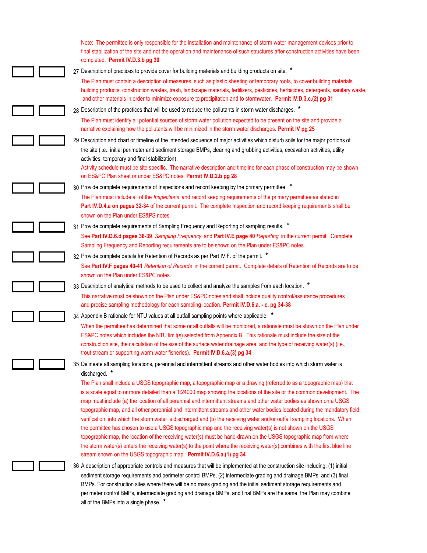| Note: The permittee is only responsible for the installation and maintenance of storm water management devices prior to<br>final stabilization of the site and not the operation and maintenance of such structures after construction activities have been<br>completed. Permit IV.D.3.b pg 30                                                                                                                                                                                                                                                                                                                                                                                                                                                                                                                                                                                                                                                                                                                                                                                                    |
|----------------------------------------------------------------------------------------------------------------------------------------------------------------------------------------------------------------------------------------------------------------------------------------------------------------------------------------------------------------------------------------------------------------------------------------------------------------------------------------------------------------------------------------------------------------------------------------------------------------------------------------------------------------------------------------------------------------------------------------------------------------------------------------------------------------------------------------------------------------------------------------------------------------------------------------------------------------------------------------------------------------------------------------------------------------------------------------------------|
| 27 Description of practices to provide cover for building materials and building products on site. *                                                                                                                                                                                                                                                                                                                                                                                                                                                                                                                                                                                                                                                                                                                                                                                                                                                                                                                                                                                               |
| The Plan must contain a description of measures, such as plastic sheeting or temporary roofs, to cover building materials,<br>building products, construction wastes, trash, landscape materials, fertilizers, pesticides, herbicides, detergents, sanitary waste,<br>and other materials in order to minimize exposure to precipitation and to stormwater. Permit IV.D.3.c.(2) pg 31                                                                                                                                                                                                                                                                                                                                                                                                                                                                                                                                                                                                                                                                                                              |
| 28 Description of the practices that will be used to reduce the pollutants in storm water discharges. *                                                                                                                                                                                                                                                                                                                                                                                                                                                                                                                                                                                                                                                                                                                                                                                                                                                                                                                                                                                            |
| The Plan must identify all potential sources of storm water pollution expected to be present on the site and provide a<br>narrative explaining how the pollutants will be minimized in the storm water discharges. Permit IV pg 25                                                                                                                                                                                                                                                                                                                                                                                                                                                                                                                                                                                                                                                                                                                                                                                                                                                                 |
| 29 Description and chart or timeline of the intended sequence of major activities which disturb soils for the major portions of                                                                                                                                                                                                                                                                                                                                                                                                                                                                                                                                                                                                                                                                                                                                                                                                                                                                                                                                                                    |
| the site (i.e., initial perimeter and sediment storage BMPs, clearing and grubbing activities, excavation activities, utility<br>activities, temporary and final stabilization).                                                                                                                                                                                                                                                                                                                                                                                                                                                                                                                                                                                                                                                                                                                                                                                                                                                                                                                   |
| Activity schedule must be site specific. The narrative description and timeline for each phase of construction may be shown<br>on ES&PC Plan sheet or under ES&PC notes. Permit IV.D.2.b pg 28                                                                                                                                                                                                                                                                                                                                                                                                                                                                                                                                                                                                                                                                                                                                                                                                                                                                                                     |
| 30 Provide complete requirements of Inspections and record keeping by the primary permittee. *                                                                                                                                                                                                                                                                                                                                                                                                                                                                                                                                                                                                                                                                                                                                                                                                                                                                                                                                                                                                     |
| The Plan must include all of the Inspections and record keeping requirements of the primary permittee as stated in<br>Part IV.D.4.a on pages 32-34 of the current permit. The complete Inspection and record keeping requirements shall be<br>shown on the Plan under ES&PS notes.                                                                                                                                                                                                                                                                                                                                                                                                                                                                                                                                                                                                                                                                                                                                                                                                                 |
| 31 Provide complete requirements of Sampling Frequency and Reporting of sampling results. *                                                                                                                                                                                                                                                                                                                                                                                                                                                                                                                                                                                                                                                                                                                                                                                                                                                                                                                                                                                                        |
| See Part IV.D.6.d pages 38-39 Sampling Frequency and Part IV.E page 40 Reporting in the current permit. Complete                                                                                                                                                                                                                                                                                                                                                                                                                                                                                                                                                                                                                                                                                                                                                                                                                                                                                                                                                                                   |
| Sampling Frequency and Reporting requirements are to be shown on the Plan under ES&PC notes.                                                                                                                                                                                                                                                                                                                                                                                                                                                                                                                                                                                                                                                                                                                                                                                                                                                                                                                                                                                                       |
| 32 Provide complete details for Retention of Records as per Part IV.F. of the permit. *                                                                                                                                                                                                                                                                                                                                                                                                                                                                                                                                                                                                                                                                                                                                                                                                                                                                                                                                                                                                            |
| See Part IV.F pages 40-41 Retention of Records in the current permit. Complete details of Retention of Records are to be<br>shown on the Plan under ES&PC notes.                                                                                                                                                                                                                                                                                                                                                                                                                                                                                                                                                                                                                                                                                                                                                                                                                                                                                                                                   |
| 33 Description of analytical methods to be used to collect and analyze the samples from each location. *                                                                                                                                                                                                                                                                                                                                                                                                                                                                                                                                                                                                                                                                                                                                                                                                                                                                                                                                                                                           |
| This narrative must be shown on the Plan under ES&PC notes and shall include quality control/assurance procedures<br>and precise sampling methodology for each sampling location. Permit IV.D.6.a. - c. pg 34-38                                                                                                                                                                                                                                                                                                                                                                                                                                                                                                                                                                                                                                                                                                                                                                                                                                                                                   |
| 34 Appendix B rationale for NTU values at all outfall sampling points where applicable. *                                                                                                                                                                                                                                                                                                                                                                                                                                                                                                                                                                                                                                                                                                                                                                                                                                                                                                                                                                                                          |
| When the permittee has determined that some or all outfalls will be monitored, a rationale must be shown on the Plan under<br>ES&PC notes which includes the NTU limit(s) selected from Appendix B. This rationale must include the size of the<br>construction site, the calculation of the size of the surface water drainage area, and the type of receiving water(s) (i.e.,<br>trout stream or supporting warm water fisheries). Permit IV.D.6.a.(3) pg 34                                                                                                                                                                                                                                                                                                                                                                                                                                                                                                                                                                                                                                     |
| 35 Delineate all sampling locations, perennial and intermittent streams and other water bodies into which storm water is                                                                                                                                                                                                                                                                                                                                                                                                                                                                                                                                                                                                                                                                                                                                                                                                                                                                                                                                                                           |
| discharged. *<br>The Plan shall include a USGS topographic map, a topographic map or a drawing (referred to as a topographic map) that<br>is a scale equal to or more detailed than a 1:24000 map showing the locations of the site or the common development. The<br>map must include (a) the location of all perennial and intermittent streams and other water bodies as shown on a USGS<br>topographic map, and all other perennial and intermittent streams and other water bodies located during the mandatory field<br>verification, into which the storm water is discharged and (b) the receiving water and/or outfall sampling locations. When<br>the permittee has chosen to use a USGS topographic map and the receiving water(s) is not shown on the USGS<br>topographic map, the location of the receiving water(s) must be hand-drawn on the USGS topographic map from where<br>the storm water(s) enters the receiving water(s) to the point where the receiving water(s) combines with the first blue line<br>stream shown on the USGS topographic map. Permit IV.D.6.a.(1) pg 34 |
| 36 A description of appropriate controls and measures that will be implemented at the construction site including: (1) initial                                                                                                                                                                                                                                                                                                                                                                                                                                                                                                                                                                                                                                                                                                                                                                                                                                                                                                                                                                     |
| sediment storage requirements and perimeter control BMPs, (2) intermediate grading and drainage BMPs, and (3) final<br>BMPs. For construction sites where there will be no mass grading and the initial sediment storage requirements and<br>perimeter control BMPs, intermediate grading and drainage BMPs, and final BMPs are the same, the Plan may combine                                                                                                                                                                                                                                                                                                                                                                                                                                                                                                                                                                                                                                                                                                                                     |

all of the BMPs into a single phase. **\***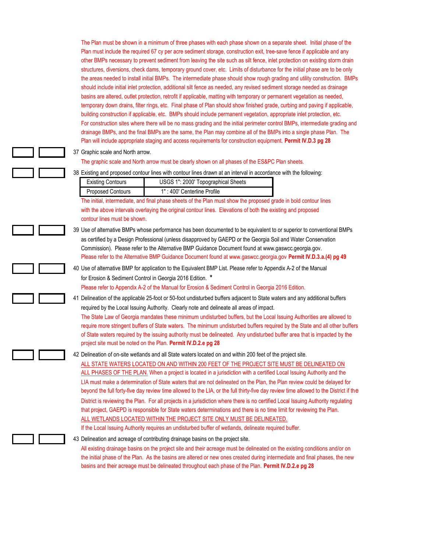The Plan must be shown in a minimum of three phases with each phase shown on a separate sheet. Initial phase of the Plan must include the required 67 cy per acre sediment storage, construction exit, tree-save fence if applicable and any other BMPs necessary to prevent sediment from leaving the site such as silt fence, inlet protection on existing storm drain structures, diversions, check dams, temporary ground cover, etc. Limits of disturbance for the initial phase are to be only the areas needed to install initial BMPs. The intermediate phase should show rough grading and utility construction. BMPs should include initial inlet protection, additional silt fence as needed, any revised sediment storage needed as drainage basins are altered, outlet protection, retrofit if applicable, matting with temporary or permanent vegetation as needed, temporary down drains, filter rings, etc. Final phase of Plan should show finished grade, curbing and paving if applicable, building construction if applicable, etc. BMPs should include permanent vegetation, appropriate inlet protection, etc. For construction sites where there will be no mass grading and the initial perimeter control BMPs, intermediate grading and drainage BMPs, and the final BMPs are the same, the Plan may combine all of the BMPs into a single phase Plan. The Plan will include appropriate staging and access requirements for construction equipment. **Permit IV.D.3 pg 28**

#### 37 Graphic scale and North arrow.

The graphic scale and North arrow must be clearly shown on all phases of the ES&PC Plan sheets.

38 Existing and proposed contour lines with contour lines drawn at an interval in accordance with the following:

| <b>Existing Contours</b> | USGS 1": 2000' Topographical Sheets |
|--------------------------|-------------------------------------|
| <b>Proposed Contours</b> | 1": 400' Centerline Profile         |

The initial, intermediate, and final phase sheets of the Plan must show the proposed grade in bold contour lines with the above intervals overlaying the original contour lines. Elevations of both the existing and proposed contour lines must be shown.

39 Use of alternative BMPs whose performance has been documented to be equivalent to or superior to conventional BMPs as certified by a Design Professional (unless disapproved by GAEPD or the Georgia Soil and Water Conservation Commission). Please refer to the Alternative BMP Guidance Document found at www.gaswcc.georgia.gov. Please refer to the Alternative BMP Guidance Document found at www.gaswcc.georgia.gov **Permit IV.D.3.a.(4) pg 49**

# 40 Use of alternative BMP for application to the Equivalent BMP List. Please refer to Appendix A-2 of the Manual for Erosion & Sediment Control in Georgia 2016 Edition. **\*** Please refer to Appendix A-2 of the Manual for Erosion & Sediment Control in Georgia 2016 Edition.

41 Delineation of the applicable 25-foot or 50-foot undisturbed buffers adjacent to State waters and any additional buffers required by the Local Issuing Authority. Clearly note and delineate all areas of impact.

The State Law of Georgia mandates these minimum undisturbed buffers, but the Local Issuing Authorities are allowed to require more stringent buffers of State waters. The minimum undisturbed buffers required by the State and all other buffers of State waters required by the issuing authority must be delineated. Any undisturbed buffer area that is impacted by the project site must be noted on the Plan. **Permit IV.D.2.e pg 28**

42 Delineation of on-site wetlands and all State waters located on and within 200 feet of the project site. ALL STATE WATERS LOCATED ON AND WITHIN 200 FEET OF THE PROJECT SITE MUST BE DELINEATED ON ALL PHASES OF THE PLAN. When a project is located in a jurisdiction with a certified Local Issuing Authority and the LIA must make a determination of State waters that are not delineated on the Plan, the Plan review could be delayed for beyond the full forty-five day review time allowed to the LIA, or the full thirty-five day review time allowed to the District if the District is reviewing the Plan. For all projects in a jurisdiction where there is no certified Local Issuing Authority regulating that project, GAEPD is responsible for State waters determinations and there is no time limit for reviewing the Plan. ALL WETLANDS LOCATED WITHIN THE PROJECT SITE ONLY MUST BE DELINEATED. If the Local Issuing Authority requires an undisturbed buffer of wetlands, delineate required buffer.

#### 43 Delineation and acreage of contributing drainage basins on the project site.

All existing drainage basins on the project site and their acreage must be delineated on the existing conditions and/or on the initial phase of the Plan. As the basins are altered or new ones created during intermediate and final phases, the new basins and their acreage must be delineated throughout each phase of the Plan. **Permit IV.D.2.e pg 28**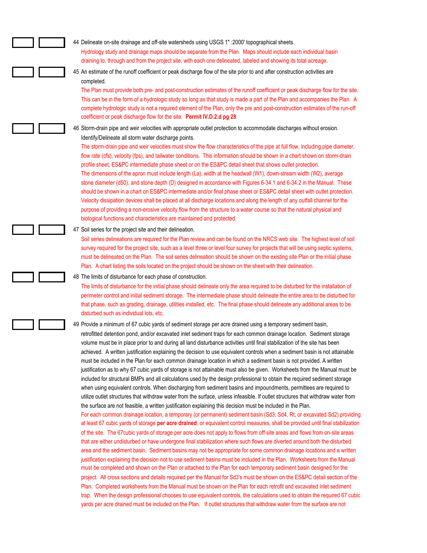| 44 Delineate on-site drainage and off-site watersheds using USGS 1" : 2000' topographical sheets.<br>Hydrology study and drainage maps should be separate from the Plan. Maps should include each individual basin<br>draining to, through and from the project site, with each one delineated, labeled and showing its total acreage.                                                                                                                                                                                                                                                                                                                                                                                                                                                                                                                                                                                                                                                                                                                                                                                                                                                                                                                                                                                                                                                                                                                                                                                                                                                                                                                                                                                                                                                                                                                                                                                                                                                                                                                                                                                                                                                                                                                                                                                                                                                                                                                                                                                                                      |
|-------------------------------------------------------------------------------------------------------------------------------------------------------------------------------------------------------------------------------------------------------------------------------------------------------------------------------------------------------------------------------------------------------------------------------------------------------------------------------------------------------------------------------------------------------------------------------------------------------------------------------------------------------------------------------------------------------------------------------------------------------------------------------------------------------------------------------------------------------------------------------------------------------------------------------------------------------------------------------------------------------------------------------------------------------------------------------------------------------------------------------------------------------------------------------------------------------------------------------------------------------------------------------------------------------------------------------------------------------------------------------------------------------------------------------------------------------------------------------------------------------------------------------------------------------------------------------------------------------------------------------------------------------------------------------------------------------------------------------------------------------------------------------------------------------------------------------------------------------------------------------------------------------------------------------------------------------------------------------------------------------------------------------------------------------------------------------------------------------------------------------------------------------------------------------------------------------------------------------------------------------------------------------------------------------------------------------------------------------------------------------------------------------------------------------------------------------------------------------------------------------------------------------------------------------------|
| 45 An estimate of the runoff coefficient or peak discharge flow of the site prior to and after construction activities are<br>completed.<br>The Plan must provide both pre- and post-construction estimates of the runoff coefficient or peak discharge flow for the site.<br>This can be in the form of a hydrologic study so long as that study is made a part of the Plan and accompanies the Plan. A<br>complete hydrologic study is not a required element of the Plan, only the pre and post-construction estimates of the run-off<br>coefficient or peak discharge flow for the site. Permit IV.D.2.d pg 28                                                                                                                                                                                                                                                                                                                                                                                                                                                                                                                                                                                                                                                                                                                                                                                                                                                                                                                                                                                                                                                                                                                                                                                                                                                                                                                                                                                                                                                                                                                                                                                                                                                                                                                                                                                                                                                                                                                                          |
| 46 Storm-drain pipe and weir velocities with appropriate outlet protection to accommodate discharges without erosion.<br>Identify/Delineate all storm water discharge points.<br>The storm-drain pipe and weir velocities must show the flow characteristics of the pipe at full flow, including pipe diameter,<br>flow rate (cfs), velocity (fps), and tailwater conditions. This information should be shown in a chart shown on storm-drain<br>profile sheet, ES&PC intermediate phase sheet or on the ES&PC detail sheet that shows outlet protection.<br>The dimensions of the apron must include length (La), width at the headwall (W1), down-stream width (W2), average<br>stone diameter (d50), and stone depth (D) designed in accordance with Figures 6-34.1 and 6-34.2 in the Manual. These<br>should be shown in a chart on ES&PC intermediate and/or final phase sheet or ES&PC detail sheet with outlet protection.<br>Velocity dissipation devices shall be placed at all discharge locations and along the length of any outfall channel for the<br>purpose of providing a non-erosive velocity flow from the structure to a water course so that the natural physical and<br>biological functions and characteristics are maintained and protected.                                                                                                                                                                                                                                                                                                                                                                                                                                                                                                                                                                                                                                                                                                                                                                                                                                                                                                                                                                                                                                                                                                                                                                                                                                                                                       |
| 47 Soil series for the project site and their delineation.<br>Soil series delineations are required for the Plan review and can be found on the NRCS web site. The highest level of soil<br>survey required for the project site, such as a level three or level four survey for projects that will be using septic systems,<br>must be delineated on the Plan. The soil series delineation should be shown on the existing site Plan or the initial phase<br>Plan. A chart listing the soils located on the project should be shown on the sheet with their delineation.                                                                                                                                                                                                                                                                                                                                                                                                                                                                                                                                                                                                                                                                                                                                                                                                                                                                                                                                                                                                                                                                                                                                                                                                                                                                                                                                                                                                                                                                                                                                                                                                                                                                                                                                                                                                                                                                                                                                                                                   |
| 48 The limits of disturbance for each phase of construction.<br>The limits of disturbance for the initial phase should delineate only the area required to be disturbed for the installation of<br>perimeter control and initial sediment storage. The intermediate phase should delineate the entire area to be disturbed for<br>that phase, such as grading, drainage, utilities installed, etc. The final phase should delineate any additional areas to be<br>disturbed such as individual lots, etc.                                                                                                                                                                                                                                                                                                                                                                                                                                                                                                                                                                                                                                                                                                                                                                                                                                                                                                                                                                                                                                                                                                                                                                                                                                                                                                                                                                                                                                                                                                                                                                                                                                                                                                                                                                                                                                                                                                                                                                                                                                                   |
| 49 Provide a minimum of 67 cubic yards of sediment storage per acre drained using a temporary sediment basin,<br>retrofitted detention pond, and/or excavated inlet sediment traps for each common drainage location. Sediment storage<br>volume must be in place prior to and during all land disturbance activities until final stabilization of the site has been<br>achieved. A written justification explaining the decision to use equivalent controls when a sediment basin is not attainable<br>must be included in the Plan for each common drainage location in which a sediment basin is not provided. A written<br>justification as to why 67 cubic yards of storage is not attainable must also be given. Worksheets from the Manual must be<br>included for structural BMPs and all calculations used by the design professional to obtain the required sediment storage<br>when using equivalent controls. When discharging from sediment basins and impoundments, permittees are required to<br>utilize outlet structures that withdraw water from the surface, unless infeasible. If outlet structures that withdraw water from<br>the surface are not feasible, a written justification explaining this decision must be included in the Plan.<br>For each common drainage location, a temporary (or permanent) sediment basin (Sd3, Sd4, Rt, or excavated Sd2) providing<br>at least 67 cubic yards of storage per acre drained, or equivalent control measures, shall be provided until final stabilization<br>of the site. The 67cubic yards of storage per acre does not apply to flows from off-site areas and flows from on-site areas<br>that are either undisturbed or have undergone final stabilization where such flows are diverted around both the disturbed<br>area and the sediment basin. Sediment basins may not be appropriate for some common drainage locations and a written<br>justification explaining the decision not to use sediment basins must be included in the Plan. Worksheets from the Manual<br>must be completed and shown on the Plan or attached to the Plan for each temporary sediment basin designed for the<br>project. All cross sections and details required per the Manual for Sd3's must be shown on the ES&PC detail section of the<br>Plan. Completed worksheets from the Manual must be shown on the Plan for each retrofit and excavated inlet sediment<br>trap. When the design professional chooses to use equivalent controls, the calculations used to obtain the required 67 cubic |

yards per acre drained must be included on the Plan. If outlet structures that withdraw water from the surface are not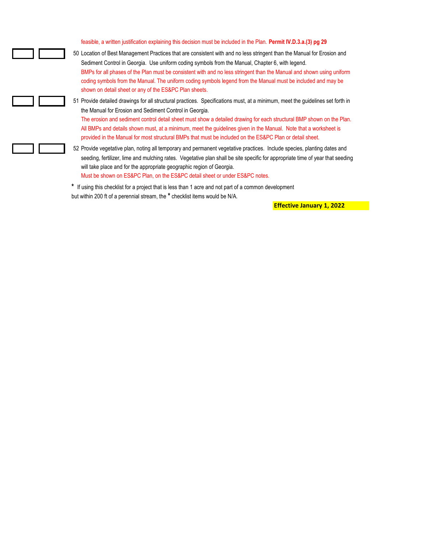feasible, a written justification explaining this decision must be included in the Plan. **Permit IV.D.3.a.(3) pg 29**

50 Location of Best Management Practices that are consistent with and no less stringent than the Manual for Erosion and Sediment Control in Georgia. Use uniform coding symbols from the Manual, Chapter 6, with legend. BMPs for all phases of the Plan must be consistent with and no less stringent than the Manual and shown using uniform coding symbols from the Manual. The uniform coding symbols legend from the Manual must be included and may be shown on detail sheet or any of the ES&PC Plan sheets.

51 Provide detailed drawings for all structural practices. Specifications must, at a minimum, meet the guidelines set forth in the Manual for Erosion and Sediment Control in Georgia.

The erosion and sediment control detail sheet must show a detailed drawing for each structural BMP shown on the Plan. All BMPs and details shown must, at a minimum, meet the guidelines given in the Manual. Note that a worksheet is provided in the Manual for most structural BMPs that must be included on the ES&PC Plan or detail sheet.

52 Provide vegetative plan, noting all temporary and permanent vegetative practices. Include species, planting dates and seeding, fertilizer, lime and mulching rates. Vegetative plan shall be site specific for appropriate time of year that seeding will take place and for the appropriate geographic region of Georgia. Must be shown on ES&PC Plan, on the ES&PC detail sheet or under ES&PC notes.

**\*** If using this checklist for a project that is less than 1 acre and not part of a common development but within 200 ft of a perennial stream, the **\*** checklist items would be N/A.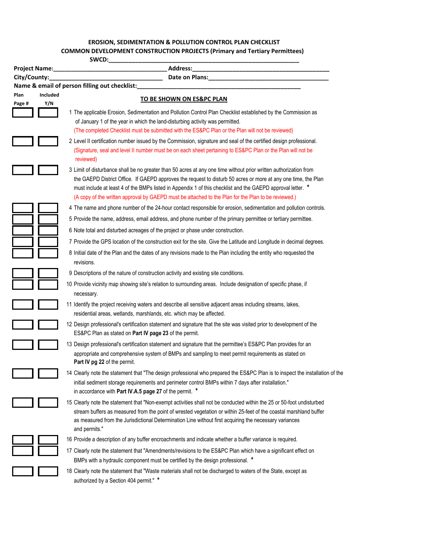# **EROSION, SEDIMENTATION & POLLUTION CONTROL PLAN CHECKLIST EROSION, SEDIMENTATION & POLLUTION CONTROL PLAN CHECKLIST COMMON DEVELOPMENT CONSTRUCTION PROJECTS (Primary and Tertiary Permittees)**<br>CWCD:

| SWCD:        |               |                                                                                                                                                                                                                                                                                                                                                                                                                                                           |
|--------------|---------------|-----------------------------------------------------------------------------------------------------------------------------------------------------------------------------------------------------------------------------------------------------------------------------------------------------------------------------------------------------------------------------------------------------------------------------------------------------------|
|              | Project Name: | Address:                                                                                                                                                                                                                                                                                                                                                                                                                                                  |
| City/County: |               | Date on Plans:<br>Name & email of person filling out checklist:                                                                                                                                                                                                                                                                                                                                                                                           |
| Plan         | Included      |                                                                                                                                                                                                                                                                                                                                                                                                                                                           |
| Page #       | Y/N           | <b>TO BE SHOWN ON ES&amp;PC PLAN</b>                                                                                                                                                                                                                                                                                                                                                                                                                      |
|              |               | 1 The applicable Erosion, Sedimentation and Pollution Control Plan Checklist established by the Commission as<br>of January 1 of the year in which the land-disturbing activity was permitted.<br>(The completed Checklist must be submitted with the ES&PC Plan or the Plan will not be reviewed)                                                                                                                                                        |
|              |               | 2 Level II certification number issued by the Commission, signature and seal of the certified design professional.<br>(Signature, seal and level II number must be on each sheet pertaining to ES&PC Plan or the Plan will not be<br>reviewed)                                                                                                                                                                                                            |
|              |               | 3 Limit of disturbance shall be no greater than 50 acres at any one time without prior written authorization from<br>the GAEPD District Office. If GAEPD approves the request to disturb 50 acres or more at any one time, the Plan<br>must include at least 4 of the BMPs listed in Appendix 1 of this checklist and the GAEPD approval letter. *<br>(A copy of the written approval by GAEPD must be attached to the Plan for the Plan to be reviewed.) |
|              |               | 4 The name and phone number of the 24-hour contact responsible for erosion, sedimentation and pollution controls.                                                                                                                                                                                                                                                                                                                                         |
|              |               | 5 Provide the name, address, email address, and phone number of the primary permittee or tertiary permittee.                                                                                                                                                                                                                                                                                                                                              |
|              |               | 6 Note total and disturbed acreages of the project or phase under construction.                                                                                                                                                                                                                                                                                                                                                                           |
|              |               | 7 Provide the GPS location of the construction exit for the site. Give the Latitude and Longitude in decimal degrees.                                                                                                                                                                                                                                                                                                                                     |
|              |               | 8 Initial date of the Plan and the dates of any revisions made to the Plan including the entity who requested the<br>revisions.                                                                                                                                                                                                                                                                                                                           |
|              |               | 9 Descriptions of the nature of construction activity and existing site conditions.                                                                                                                                                                                                                                                                                                                                                                       |
|              |               | 10 Provide vicinity map showing site's relation to surrounding areas. Include designation of specific phase, if<br>necessary.                                                                                                                                                                                                                                                                                                                             |
|              |               | 11 Identify the project receiving waters and describe all sensitive adjacent areas including streams, lakes,<br>residential areas, wetlands, marshlands, etc. which may be affected.                                                                                                                                                                                                                                                                      |
|              |               | 12 Design professional's certification statement and signature that the site was visited prior to development of the<br>ES&PC Plan as stated on Part IV page 23 of the permit.                                                                                                                                                                                                                                                                            |
|              |               | 13 Design professional's certification statement and signature that the permittee's ES&PC Plan provides for an<br>appropriate and comprehensive system of BMPs and sampling to meet permit requirements as stated on<br>Part IV pg 22 of the permit.                                                                                                                                                                                                      |
|              |               | 14 Clearly note the statement that "The design professional who prepared the ES&PC Plan is to inspect the installation of the<br>initial sediment storage requirements and perimeter control BMPs within 7 days after installation."<br>in accordance with Part IV.A.5 page 27 of the permit. *                                                                                                                                                           |
|              |               | 15 Clearly note the statement that "Non-exempt activities shall not be conducted within the 25 or 50-foot undisturbed<br>stream buffers as measured from the point of wrested vegetation or within 25-feet of the coastal marshland buffer<br>as measured from the Jurisdictional Determination Line without first acquiring the necessary variances<br>and permits."                                                                                     |
|              |               | 16 Provide a description of any buffer encroachments and indicate whether a buffer variance is required.                                                                                                                                                                                                                                                                                                                                                  |
|              |               | 17 Clearly note the statement that "Amendments/revisions to the ES&PC Plan which have a significant effect on<br>BMPs with a hydraulic component must be certified by the design professional. *                                                                                                                                                                                                                                                          |
|              |               | 18 Clearly note the statement that "Waste materials shall not be discharged to waters of the State, except as<br>authorized by a Section 404 permit." *                                                                                                                                                                                                                                                                                                   |

I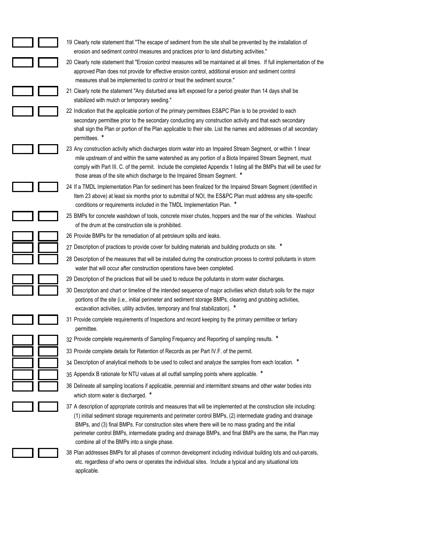| 19 Clearly note statement that "The escape of sediment from the site shall be prevented by the installation of<br>erosion and sediment control measures and practices prior to land disturbing activities."                                                                                                                                                                                                                                                                                            |
|--------------------------------------------------------------------------------------------------------------------------------------------------------------------------------------------------------------------------------------------------------------------------------------------------------------------------------------------------------------------------------------------------------------------------------------------------------------------------------------------------------|
| 20 Clearly note statement that "Erosion control measures will be maintained at all times. If full implementation of the<br>approved Plan does not provide for effective erosion control, additional erosion and sediment control<br>measures shall be implemented to control or treat the sediment source."                                                                                                                                                                                            |
| 21 Clearly note the statement "Any disturbed area left exposed for a period greater than 14 days shall be<br>stabilized with mulch or temporary seeding."                                                                                                                                                                                                                                                                                                                                              |
| 22 Indication that the applicable portion of the primary permittees ES&PC Plan is to be provided to each<br>secondary permittee prior to the secondary conducting any construction activity and that each secondary<br>shall sign the Plan or portion of the Plan applicable to their site. List the names and addresses of all secondary<br>permittees. *                                                                                                                                             |
| 23 Any construction activity which discharges storm water into an Impaired Stream Segment, or within 1 linear<br>mile upstream of and within the same watershed as any portion of a Biota Impaired Stream Segment, must<br>comply with Part III. C. of the permit. Include the completed Appendix 1 listing all the BMPs that will be used for<br>those areas of the site which discharge to the Impaired Stream Segment. *                                                                            |
| 24 If a TMDL Implementation Plan for sediment has been finalized for the Impaired Stream Segment (identified in<br>Item 23 above) at least six months prior to submittal of NOI, the ES&PC Plan must address any site-specific<br>conditions or requirements included in the TMDL Implementation Plan. *                                                                                                                                                                                               |
| 25 BMPs for concrete washdown of tools, concrete mixer chutes, hoppers and the rear of the vehicles. Washout<br>of the drum at the construction site is prohibited.                                                                                                                                                                                                                                                                                                                                    |
| 26 Provide BMPs for the remediation of all petroleum spills and leaks.                                                                                                                                                                                                                                                                                                                                                                                                                                 |
| 27 Description of practices to provide cover for building materials and building products on site. *                                                                                                                                                                                                                                                                                                                                                                                                   |
| 28 Description of the measures that will be installed during the construction process to control pollutants in storm<br>water that will occur after construction operations have been completed.                                                                                                                                                                                                                                                                                                       |
| 29 Description of the practices that will be used to reduce the pollutants in storm water discharges.                                                                                                                                                                                                                                                                                                                                                                                                  |
| 30 Description and chart or timeline of the intended sequence of major activities which disturb soils for the major<br>portions of the site (i.e., initial perimeter and sediment storage BMPs, clearing and grubbing activities,<br>excavation activities, utility activities, temporary and final stabilization).                                                                                                                                                                                    |
| 31 Provide complete requirements of Inspections and record keeping by the primary permittee or tertiary<br>permittee.                                                                                                                                                                                                                                                                                                                                                                                  |
| 32 Provide complete requirements of Sampling Frequency and Reporting of sampling results. *                                                                                                                                                                                                                                                                                                                                                                                                            |
| 33 Provide complete details for Retention of Records as per Part IV.F. of the permit.                                                                                                                                                                                                                                                                                                                                                                                                                  |
| 34 Description of analytical methods to be used to collect and analyze the samples from each location. *                                                                                                                                                                                                                                                                                                                                                                                               |
| 35 Appendix B rationale for NTU values at all outfall sampling points where applicable. *                                                                                                                                                                                                                                                                                                                                                                                                              |
| 36 Delineate all sampling locations if applicable, perennial and intermittent streams and other water bodies into<br>which storm water is discharged. *                                                                                                                                                                                                                                                                                                                                                |
| 37 A description of appropriate controls and measures that will be implemented at the construction site including:<br>(1) initial sediment storage requirements and perimeter control BMPs, (2) intermediate grading and drainage<br>BMPs, and (3) final BMPs. For construction sites where there will be no mass grading and the initial<br>perimeter control BMPs, intermediate grading and drainage BMPs, and final BMPs are the same, the Plan may<br>combine all of the BMPs into a single phase. |
| 38 Plan addresses BMPs for all phases of common development including individual building lots and out-parcels,<br>etc. regardless of who owns or operates the individual sites. Include a typical and any situational lots<br>annlicable                                                                                                                                                                                                                                                              |

applicable.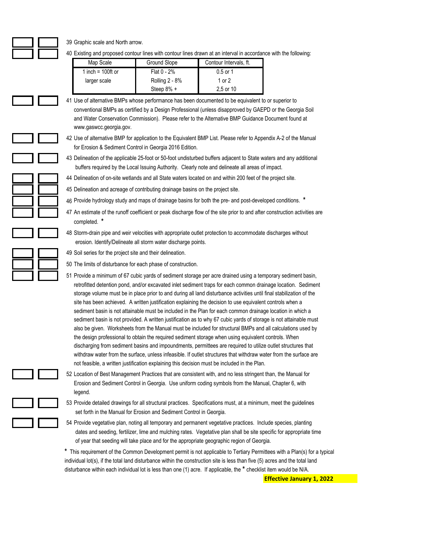39 Graphic scale and North arrow.

40 Existing and proposed contour lines with contour lines drawn at an interval in accordance with the following:

| Map Scale            | <b>Ground Slope</b> | Contour Intervals, ft. |
|----------------------|---------------------|------------------------|
| 1 inch = $100$ ft or | Flat $0 - 2%$       | $0.5$ or 1             |
| larger scale         | Rolling 2 - 8%      | 1 or 2                 |
|                      | Steep 8% +          | 2.5 or 10              |

41 Use of alternative BMPs whose performance has been documented to be equivalent to or superior to conventional BMPs as certified by a Design Professional (unless disapproved by GAEPD or the Georgia Soil and Water Conservation Commission). Please refer to the Alternative BMP Guidance Document found at www.gaswcc.georgia.gov.

42 Use of alternative BMP for application to the Equivalent BMP List. Please refer to Appendix A-2 of the Manual for Erosion & Sediment Control in Georgia 2016 Edition.

43 Delineation of the applicable 25-foot or 50-foot undisturbed buffers adjacent to State waters and any additional buffers required by the Local Issuing Authority. Clearly note and delineate all areas of impact.

44 Delineation of on-site wetlands and all State waters located on and within 200 feet of the project site.

45 Delineation and acreage of contributing drainage basins on the project site.

46 Provide hydrology study and maps of drainage basins for both the pre- and post-developed conditions. **\***

47 An estimate of the runoff coefficient or peak discharge flow of the site prior to and after construction activities are completed. **\***

48 Storm-drain pipe and weir velocities with appropriate outlet protection to accommodate discharges without erosion. Identify/Delineate all storm water discharge points.

49 Soil series for the project site and their delineation.

50 The limits of disturbance for each phase of construction.

51 Provide a minimum of 67 cubic yards of sediment storage per acre drained using a temporary sediment basin, retrofitted detention pond, and/or excavated inlet sediment traps for each common drainage location. Sediment storage volume must be in place prior to and during all land disturbance activities until final stabilization of the site has been achieved. A written justification explaining the decision to use equivalent controls when a sediment basin is not attainable must be included in the Plan for each common drainage location in which a sediment basin is not provided. A written justification as to why 67 cubic yards of storage is not attainable must also be given. Worksheets from the Manual must be included for structural BMPs and all calculations used by the design professional to obtain the required sediment storage when using equivalent controls. When discharging from sediment basins and impoundments, permittees are required to utilize outlet structures that withdraw water from the surface, unless infeasible. If outlet structures that withdraw water from the surface are not feasible, a written justification explaining this decision must be included in the Plan.

52 Location of Best Management Practices that are consistent with, and no less stringent than, the Manual for Erosion and Sediment Control in Georgia. Use uniform coding symbols from the Manual, Chapter 6, with legend.

53 Provide detailed drawings for all structural practices. Specifications must, at a minimum, meet the guidelines set forth in the Manual for Erosion and Sediment Control in Georgia.

54 Provide vegetative plan, noting all temporary and permanent vegetative practices. Include species, planting dates and seeding, fertilizer, lime and mulching rates. Vegetative plan shall be site specific for appropriate time of year that seeding will take place and for the appropriate geographic region of Georgia.

**\*** This requirement of the Common Development permit is not applicable to Tertiary Permittees with a Plan(s) for a typical individual lot(s), if the total land disturbance within the construction site is less than five (5) acres and the total land disturbance within each individual lot is less than one (1) acre. If applicable, the **\*** checklist item would be N/A.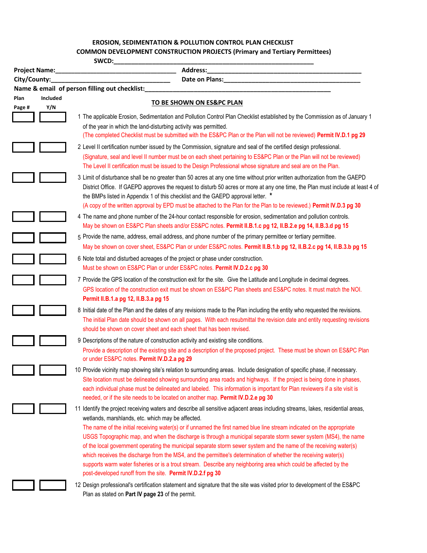#### **EROSION, SEDIMENTATION & POLLUTION CONTROL PLAN CHECKLIST EROSION, SEDIMENTATION & POLLUTION CONTROL PLAN CHECKLIST**

# **COMMON DEVELOPMENT CONSTRUCTION PROJECTS (Primary and Tertiary Permittees)**

| SWCD:          |                        |                                                                                                                                                                                                                                                                                                                                                                                                                                                                                                                                                                                                                                                                                                                                                                                                                                                             |
|----------------|------------------------|-------------------------------------------------------------------------------------------------------------------------------------------------------------------------------------------------------------------------------------------------------------------------------------------------------------------------------------------------------------------------------------------------------------------------------------------------------------------------------------------------------------------------------------------------------------------------------------------------------------------------------------------------------------------------------------------------------------------------------------------------------------------------------------------------------------------------------------------------------------|
|                | <b>Project Name:</b>   | Address:                                                                                                                                                                                                                                                                                                                                                                                                                                                                                                                                                                                                                                                                                                                                                                                                                                                    |
| City/County:   |                        |                                                                                                                                                                                                                                                                                                                                                                                                                                                                                                                                                                                                                                                                                                                                                                                                                                                             |
|                |                        | Name & email of person filling out checklist:                                                                                                                                                                                                                                                                                                                                                                                                                                                                                                                                                                                                                                                                                                                                                                                                               |
| Plan<br>Page # | <b>Included</b><br>Y/N | TO BE SHOWN ON ES&PC PLAN                                                                                                                                                                                                                                                                                                                                                                                                                                                                                                                                                                                                                                                                                                                                                                                                                                   |
|                |                        | 1 The applicable Erosion, Sedimentation and Pollution Control Plan Checklist established by the Commission as of January 1<br>of the year in which the land-disturbing activity was permitted.<br>(The completed Checklist must be submitted with the ES&PC Plan or the Plan will not be reviewed) Permit IV.D.1 pg 29                                                                                                                                                                                                                                                                                                                                                                                                                                                                                                                                      |
|                |                        | 2 Level II certification number issued by the Commission, signature and seal of the certified design professional.<br>(Signature, seal and level II number must be on each sheet pertaining to ES&PC Plan or the Plan will not be reviewed)<br>The Level II certification must be issued to the Design Professional whose signature and seal are on the Plan.                                                                                                                                                                                                                                                                                                                                                                                                                                                                                               |
|                |                        | 3 Limit of disturbance shall be no greater than 50 acres at any one time without prior written authorization from the GAEPD<br>District Office. If GAEPD approves the request to disturb 50 acres or more at any one time, the Plan must include at least 4 of<br>the BMPs listed in Appendix 1 of this checklist and the GAEPD approval letter. *<br>(A copy of the written approval by EPD must be attached to the Plan for the Plan to be reviewed.) Permit IV.D.3 pg 30                                                                                                                                                                                                                                                                                                                                                                                 |
|                |                        | 4 The name and phone number of the 24-hour contact responsible for erosion, sedimentation and pollution controls.<br>May be shown on ES&PC Plan sheets and/or ES&PC notes. Permit II.B.1.c pg 12, II.B.2.e pg 14, II.B.3.d pg 15                                                                                                                                                                                                                                                                                                                                                                                                                                                                                                                                                                                                                            |
|                |                        | 5 Provide the name, address, email address, and phone number of the primary permittee or tertiary permittee.<br>May be shown on cover sheet, ES&PC Plan or under ES&PC notes. Permit II.B.1.b pg 12, II.B.2.c pg 14, II.B.3.b pg 15                                                                                                                                                                                                                                                                                                                                                                                                                                                                                                                                                                                                                         |
|                |                        | 6 Note total and disturbed acreages of the project or phase under construction.<br>Must be shown on ES&PC Plan or under ES&PC notes. Permit IV.D.2.c pg 30                                                                                                                                                                                                                                                                                                                                                                                                                                                                                                                                                                                                                                                                                                  |
|                |                        | 7 Provide the GPS location of the construction exit for the site. Give the Latitude and Longitude in decimal degrees.<br>GPS location of the construction exit must be shown on ES&PC Plan sheets and ES&PC notes. It must match the NOI.<br>Permit II.B.1.a pg 12, II.B.3.a pg 15                                                                                                                                                                                                                                                                                                                                                                                                                                                                                                                                                                          |
|                |                        | 8 Initial date of the Plan and the dates of any revisions made to the Plan including the entity who requested the revisions.<br>The initial Plan date should be shown on all pages. With each resubmittal the revision date and entity requesting revisions<br>should be shown on cover sheet and each sheet that has been revised.                                                                                                                                                                                                                                                                                                                                                                                                                                                                                                                         |
|                |                        | 9 Descriptions of the nature of construction activity and existing site conditions.<br>Provide a description of the existing site and a description of the proposed project. These must be shown on ES&PC Plan<br>or under ES&PC notes. Permit IV.D.2.a pg 29                                                                                                                                                                                                                                                                                                                                                                                                                                                                                                                                                                                               |
|                |                        | 10 Provide vicinity map showing site's relation to surrounding areas. Include designation of specific phase, if necessary.<br>Site location must be delineated showing surrounding area roads and highways. If the project is being done in phases,<br>each individual phase must be delineated and labeled. This information is important for Plan reviewers if a site visit is<br>needed, or if the site needs to be located on another map. Permit IV.D.2.e pg 30                                                                                                                                                                                                                                                                                                                                                                                        |
|                |                        | 11 Identify the project receiving waters and describe all sensitive adjacent areas including streams, lakes, residential areas,<br>wetlands, marshlands, etc. which may be affected.<br>The name of the initial receiving water(s) or if unnamed the first named blue line stream indicated on the appropriate<br>USGS Topographic map, and when the discharge is through a municipal separate storm sewer system (MS4), the name<br>of the local government operating the municipal separate storm sewer system and the name of the receiving water(s)<br>which receives the discharge from the MS4, and the permittee's determination of whether the receiving water(s)<br>supports warm water fisheries or is a trout stream. Describe any neighboring area which could be affected by the<br>post-developed runoff from the site. Permit IV.D.2.f pg 30 |
|                |                        | 12 Design professional's certification statement and signature that the site was visited prior to development of the ES&PC<br>Plan as stated on Part IV page 23 of the permit.                                                                                                                                                                                                                                                                                                                                                                                                                                                                                                                                                                                                                                                                              |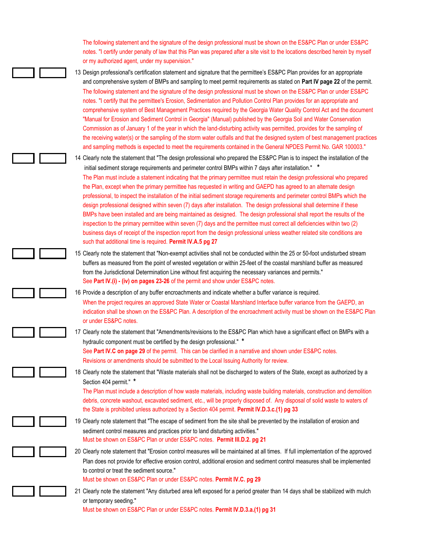The following statement and the signature of the design professional must be shown on the ES&PC Plan or under ES&PC notes. "I certify under penalty of law that this Plan was prepared after a site visit to the locations described herein by myself or my authorized agent, under my supervision."

13 Design professional's certification statement and signature that the permittee's ES&PC Plan provides for an appropriate and comprehensive system of BMPs and sampling to meet permit requirements as stated on **Part IV page 22** of the permit. The following statement and the signature of the design professional must be shown on the ES&PC Plan or under ES&PC notes. "I certify that the permittee's Erosion, Sedimentation and Pollution Control Plan provides for an appropriate and comprehensive system of Best Management Practices required by the Georgia Water Quality Control Act and the document "Manual for Erosion and Sediment Control in Georgia" (Manual) published by the Georgia Soil and Water Conservation Commission as of January 1 of the year in which the land-disturbing activity was permitted, provides for the sampling of the receiving water(s) or the sampling of the storm water outfalls and that the designed system of best management practices and sampling methods is expected to meet the requirements contained in the General NPDES Permit No. GAR 100003."

14 Clearly note the statement that "The design professional who prepared the ES&PC Plan is to inspect the installation of the initial sediment storage requirements and perimeter control BMPs within 7 days after installation." **\*** The Plan must include a statement indicating that the primary permittee must retain the design professional who prepared the Plan, except when the primary permittee has requested in writing and GAEPD has agreed to an alternate design professional, to inspect the installation of the initial sediment storage requirements and perimeter control BMPs which the design professional designed within seven (7) days after installation. The design professional shall determine if these BMPs have been installed and are being maintained as designed. The design professional shall report the results of the inspection to the primary permittee within seven (7) days and the permittee must correct all deficiencies within two (2) business days of receipt of the inspection report from the design professional unless weather related site conditions are such that additional time is required. **Permit IV.A.5 pg 27**

15 Clearly note the statement that "Non-exempt activities shall not be conducted within the 25 or 50-foot undisturbed stream buffers as measured from the point of wrested vegetation or within 25-feet of the coastal marshland buffer as measured from the Jurisdictional Determination Line without first acquiring the necessary variances and permits." See **Part IV.(i) - (iv) on pages 23-26** of the permit and show under ES&PC notes.

16 Provide a description of any buffer encroachments and indicate whether a buffer variance is required. When the project requires an approved State Water or Coastal Marshland Interface buffer variance from the GAEPD, an indication shall be shown on the ES&PC Plan. A description of the encroachment activity must be shown on the ES&PC Plan or under ES&PC notes.

17 Clearly note the statement that "Amendments/revisions to the ES&PC Plan which have a significant effect on BMPs with a hydraulic component must be certified by the design professional." **\*** See **Part IV.C on page 29** of the permit. This can be clarified in a narrative and shown under ES&PC notes.

Revisions or amendments should be submitted to the Local Issuing Authority for review.

18 Clearly note the statement that "Waste materials shall not be discharged to waters of the State, except as authorized by a Section 404 permit." **\***

The Plan must include a description of how waste materials, including waste building materials, construction and demolition debris, concrete washout, excavated sediment, etc., will be properly disposed of. Any disposal of solid waste to waters of the State is prohibited unless authorized by a Section 404 permit. **Permit IV.D.3.c.(1) pg 33**

- 19 Clearly note statement that "The escape of sediment from the site shall be prevented by the installation of erosion and sediment control measures and practices prior to land disturbing activities." Must be shown on ES&PC Plan or under ES&PC notes. **Permit III.D.2. pg 21**
- 20 Clearly note statement that "Erosion control measures will be maintained at all times. If full implementation of the approved Plan does not provide for effective erosion control, additional erosion and sediment control measures shall be implemented to control or treat the sediment source."

Must be shown on ES&PC Plan or under ES&PC notes. **Permit IV.C. pg 29**

21 Clearly note the statement "Any disturbed area left exposed for a period greater than 14 days shall be stabilized with mulch or temporary seeding." Must be shown on ES&PC Plan or under ES&PC notes. **Permit IV.D.3.a.(1) pg 31**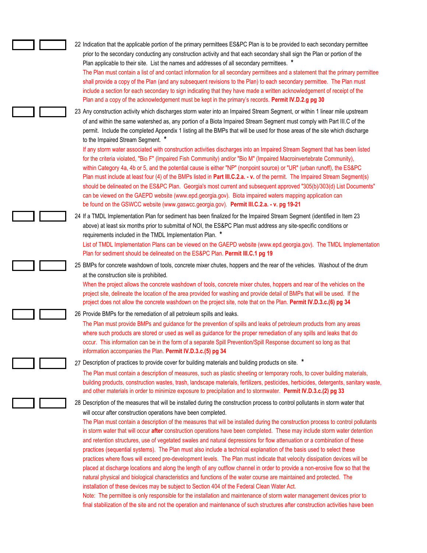| 22 Indication that the applicable portion of the primary permittees ES&PC Plan is to be provided to each secondary permittee                                                                                                                                                                                                                                                                                                                                                                                                                                                                                                                                                                                                                                                                                                                                                                                                                                                                                                                                                                                                                                                                                                                                                                                                                                                                                                                                             |
|--------------------------------------------------------------------------------------------------------------------------------------------------------------------------------------------------------------------------------------------------------------------------------------------------------------------------------------------------------------------------------------------------------------------------------------------------------------------------------------------------------------------------------------------------------------------------------------------------------------------------------------------------------------------------------------------------------------------------------------------------------------------------------------------------------------------------------------------------------------------------------------------------------------------------------------------------------------------------------------------------------------------------------------------------------------------------------------------------------------------------------------------------------------------------------------------------------------------------------------------------------------------------------------------------------------------------------------------------------------------------------------------------------------------------------------------------------------------------|
| prior to the secondary conducting any construction activity and that each secondary shall sign the Plan or portion of the<br>Plan applicable to their site. List the names and addresses of all secondary permittees. *<br>The Plan must contain a list of and contact information for all secondary permittees and a statement that the primary permittee<br>shall provide a copy of the Plan (and any subsequent revisions to the Plan) to each secondary permittee. The Plan must<br>include a section for each secondary to sign indicating that they have made a written acknowledgement of receipt of the<br>Plan and a copy of the acknowledgement must be kept in the primary's records. Permit IV.D.2.g pg 30                                                                                                                                                                                                                                                                                                                                                                                                                                                                                                                                                                                                                                                                                                                                                   |
| 23 Any construction activity which discharges storm water into an Impaired Stream Segment, or within 1 linear mile upstream<br>of and within the same watershed as, any portion of a Biota Impaired Stream Segment must comply with Part III.C of the<br>permit. Include the completed Appendix 1 listing all the BMPs that will be used for those areas of the site which discharge<br>to the Impaired Stream Segment. *<br>If any storm water associated with construction activities discharges into an Impaired Stream Segment that has been listed<br>for the criteria violated, "Bio F" (Impaired Fish Community) and/or "Bio M" (Impaired Macroinvertebrate Community),<br>within Category 4a, 4b or 5, and the potential cause is either "NP" (nonpoint source) or "UR" (urban runoff), the ES&PC<br>Plan must include at least four (4) of the BMPs listed in Part III.C.2.a. - v. of the permit. The Impaired Stream Segment(s)<br>should be delineated on the ES&PC Plan. Georgia's most current and subsequent approved "305(b)/303(d) List Documents"<br>can be viewed on the GAEPD website (www.epd.georgia.gov). Biota impaired waters mapping application can<br>be found on the GSWCC website (www.gaswcc.georgia.gov). Permit III.C.2.a. - v. pg 19-21                                                                                                                                                                                                 |
| 24 If a TMDL Implementation Plan for sediment has been finalized for the Impaired Stream Segment (identified in Item 23<br>above) at least six months prior to submittal of NOI, the ES&PC Plan must address any site-specific conditions or<br>requirements included in the TMDL Implementation Plan. *<br>List of TMDL Implementation Plans can be viewed on the GAEPD website (www.epd.georgia.gov). The TMDL Implementation<br>Plan for sediment should be delineated on the ES&PC Plan. Permit III.C.1 pg 19                                                                                                                                                                                                                                                                                                                                                                                                                                                                                                                                                                                                                                                                                                                                                                                                                                                                                                                                                        |
| 25 BMPs for concrete washdown of tools, concrete mixer chutes, hoppers and the rear of the vehicles. Washout of the drum<br>at the construction site is prohibited.<br>When the project allows the concrete washdown of tools, concrete mixer chutes, hoppers and rear of the vehicles on the<br>project site, delineate the location of the area provided for washing and provide detail of BMPs that will be used. If the<br>project does not allow the concrete washdown on the project site, note that on the Plan. Permit IV.D.3.c.(6) pg 34                                                                                                                                                                                                                                                                                                                                                                                                                                                                                                                                                                                                                                                                                                                                                                                                                                                                                                                        |
| 26 Provide BMPs for the remediation of all petroleum spills and leaks.<br>The Plan must provide BMPs and guidance for the prevention of spills and leaks of petroleum products from any areas<br>where such products are stored or used as well as guidance for the proper remediation of any spills and leaks that do<br>occur. This information can be in the form of a separate Spill Prevention/Spill Response document so long as that<br>information accompanies the Plan. Permit IV.D.3.c.(5) pg 34                                                                                                                                                                                                                                                                                                                                                                                                                                                                                                                                                                                                                                                                                                                                                                                                                                                                                                                                                               |
| 27 Description of practices to provide cover for building materials and building products on site. *<br>The Plan must contain a description of measures, such as plastic sheeting or temporary roofs, to cover building materials,<br>building products, construction wastes, trash, landscape materials, fertilizers, pesticides, herbicides, detergents, sanitary waste,<br>and other materials in order to minimize exposure to precipitation and to stormwater. Permit IV.D.3.c.(2) pg 33                                                                                                                                                                                                                                                                                                                                                                                                                                                                                                                                                                                                                                                                                                                                                                                                                                                                                                                                                                            |
| 28 Description of the measures that will be installed during the construction process to control pollutants in storm water that<br>will occur after construction operations have been completed.<br>The Plan must contain a description of the measures that will be installed during the construction process to control pollutants<br>in storm water that will occur after construction operations have been completed. These may include storm water detention<br>and retention structures, use of vegetated swales and natural depressions for flow attenuation or a combination of these<br>practices (sequential systems). The Plan must also include a technical explanation of the basis used to select these<br>practices where flows will exceed pre-development levels. The Plan must indicate that velocity dissipation devices will be<br>placed at discharge locations and along the length of any outflow channel in order to provide a non-erosive flow so that the<br>natural physical and biological characteristics and functions of the water course are maintained and protected. The<br>installation of these devices may be subject to Section 404 of the Federal Clean Water Act.<br>Note: The permittee is only responsible for the installation and maintenance of storm water management devices prior to<br>final stabilization of the site and not the operation and maintenance of such structures after construction activities have been |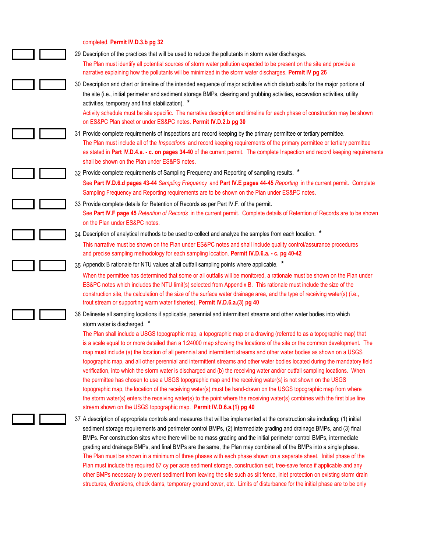### completed. **Permit IV.D.3.b pg 32**

| 29 Description of the practices that will be used to reduce the pollutants in storm water discharges.                                                                                                                                                                                                                                                                                                                                                                                                                                                                                                                                                                                                                                                                                                                                                                                                                                                                                                                                                                             |
|-----------------------------------------------------------------------------------------------------------------------------------------------------------------------------------------------------------------------------------------------------------------------------------------------------------------------------------------------------------------------------------------------------------------------------------------------------------------------------------------------------------------------------------------------------------------------------------------------------------------------------------------------------------------------------------------------------------------------------------------------------------------------------------------------------------------------------------------------------------------------------------------------------------------------------------------------------------------------------------------------------------------------------------------------------------------------------------|
| The Plan must identify all potential sources of storm water pollution expected to be present on the site and provide a<br>narrative explaining how the pollutants will be minimized in the storm water discharges. Permit IV pg 26                                                                                                                                                                                                                                                                                                                                                                                                                                                                                                                                                                                                                                                                                                                                                                                                                                                |
| 30 Description and chart or timeline of the intended sequence of major activities which disturb soils for the major portions of<br>the site (i.e., initial perimeter and sediment storage BMPs, clearing and grubbing activities, excavation activities, utility<br>activities, temporary and final stabilization). *                                                                                                                                                                                                                                                                                                                                                                                                                                                                                                                                                                                                                                                                                                                                                             |
| Activity schedule must be site specific. The narrative description and timeline for each phase of construction may be shown<br>on ES&PC Plan sheet or under ES&PC notes. Permit IV.D.2.b pg 30                                                                                                                                                                                                                                                                                                                                                                                                                                                                                                                                                                                                                                                                                                                                                                                                                                                                                    |
| 31 Provide complete requirements of Inspections and record keeping by the primary permittee or tertiary permittee.<br>The Plan must include all of the <i>Inspections</i> and record keeping requirements of the primary permittee or tertiary permittee<br>as stated in Part IV.D.4.a. - c. on pages 34-40 of the current permit. The complete Inspection and record keeping requirements<br>shall be shown on the Plan under ES&PS notes.                                                                                                                                                                                                                                                                                                                                                                                                                                                                                                                                                                                                                                       |
| 32 Provide complete requirements of Sampling Frequency and Reporting of sampling results. *                                                                                                                                                                                                                                                                                                                                                                                                                                                                                                                                                                                                                                                                                                                                                                                                                                                                                                                                                                                       |
| See Part IV.D.6.d pages 43-44 Sampling Frequency and Part IV.E pages 44-45 Reporting in the current permit. Complete<br>Sampling Frequency and Reporting requirements are to be shown on the Plan under ES&PC notes.                                                                                                                                                                                                                                                                                                                                                                                                                                                                                                                                                                                                                                                                                                                                                                                                                                                              |
| 33 Provide complete details for Retention of Records as per Part IV.F. of the permit.<br>See Part IV.F page 45 Retention of Records in the current permit. Complete details of Retention of Records are to be shown<br>on the Plan under ES&PC notes.                                                                                                                                                                                                                                                                                                                                                                                                                                                                                                                                                                                                                                                                                                                                                                                                                             |
| 34 Description of analytical methods to be used to collect and analyze the samples from each location. *                                                                                                                                                                                                                                                                                                                                                                                                                                                                                                                                                                                                                                                                                                                                                                                                                                                                                                                                                                          |
| This narrative must be shown on the Plan under ES&PC notes and shall include quality control/assurance procedures<br>and precise sampling methodology for each sampling location. Permit IV.D.6.a. - c. pg 40-42                                                                                                                                                                                                                                                                                                                                                                                                                                                                                                                                                                                                                                                                                                                                                                                                                                                                  |
| 35 Appendix B rationale for NTU values at all outfall sampling points where applicable. *                                                                                                                                                                                                                                                                                                                                                                                                                                                                                                                                                                                                                                                                                                                                                                                                                                                                                                                                                                                         |
| When the permittee has determined that some or all outfalls will be monitored, a rationale must be shown on the Plan under<br>ES&PC notes which includes the NTU limit(s) selected from Appendix B. This rationale must include the size of the<br>construction site, the calculation of the size of the surface water drainage area, and the type of receiving water(s) (i.e.,<br>trout stream or supporting warm water fisheries). Permit IV.D.6.a.(3) pg 40                                                                                                                                                                                                                                                                                                                                                                                                                                                                                                                                                                                                                    |
| 36 Delineate all sampling locations if applicable, perennial and intermittent streams and other water bodies into which<br>storm water is discharged. *                                                                                                                                                                                                                                                                                                                                                                                                                                                                                                                                                                                                                                                                                                                                                                                                                                                                                                                           |
| The Plan shall include a USGS topographic map, a topographic map or a drawing (referred to as a topographic map) that<br>is a scale equal to or more detailed than a 1:24000 map showing the locations of the site or the common development. The<br>map must include (a) the location of all perennial and intermittent streams and other water bodies as shown on a USGS<br>topographic map, and all other perennial and intermittent streams and other water bodies located during the mandatory field<br>verification, into which the storm water is discharged and (b) the receiving water and/or outfall sampling locations. When<br>the permittee has chosen to use a USGS topographic map and the receiving water(s) is not shown on the USGS<br>topographic map, the location of the receiving water(s) must be hand-drawn on the USGS topographic map from where<br>the storm water(s) enters the receiving water(s) to the point where the receiving water(s) combines with the first blue line<br>stream shown on the USGS topographic map. Permit IV.D.6.a.(1) pg 40 |
| 37 A description of appropriate controls and measures that will be implemented at the construction site including: (1) initial<br>sediment storage requirements and perimeter control BMPs, (2) intermediate grading and drainage BMPs, and (3) final<br>BMPs. For construction sites where there will be no mass grading and the initial perimeter control BMPs, intermediate<br>grading and drainage BMPs, and final BMPs are the same, the Plan may combine all of the BMPs into a single phase.<br>The Plan must be shown in a minimum of three phases with each phase shown on a separate sheet. Initial phase of the<br>Plan must include the required 67 cy per acre sediment storage, construction exit, tree-save fence if applicable and any<br>other BMPs necessary to prevent sediment from leaving the site such as silt fence, inlet protection on existing storm drain                                                                                                                                                                                             |

structures, diversions, check dams, temporary ground cover, etc. Limits of disturbance for the initial phase are to be only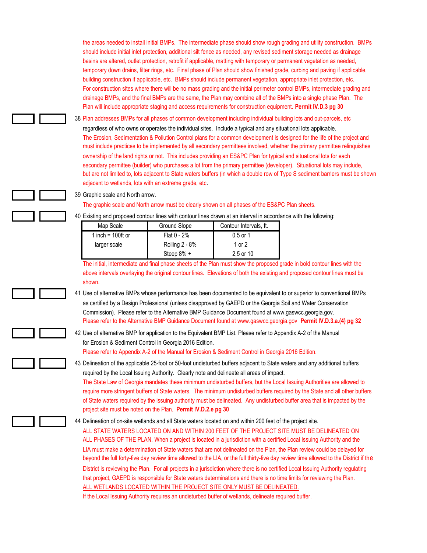the areas needed to install initial BMPs. The intermediate phase should show rough grading and utility construction. BMPs should include initial inlet protection, additional silt fence as needed, any revised sediment storage needed as drainage basins are altered, outlet protection, retrofit if applicable, matting with temporary or permanent vegetation as needed, temporary down drains, filter rings, etc. Final phase of Plan should show finished grade, curbing and paving if applicable, building construction if applicable, etc. BMPs should include permanent vegetation, appropriate inlet protection, etc. For construction sites where there will be no mass grading and the initial perimeter control BMPs, intermediate grading and drainage BMPs, and the final BMPs are the same, the Plan may combine all of the BMPs into a single phase Plan. The Plan will include appropriate staging and access requirements for construction equipment. **Permit IV.D.3 pg 30**

38 Plan addresses BMPs for all phases of common development including individual building lots and out-parcels, etc regardless of who owns or operates the individual sites. Include a typical and any situational lots applicable. The Erosion, Sedimentation & Pollution Control plans for a common development is designed for the life of the project and must include practices to be implemented by all secondary permittees involved, whether the primary permittee relinquishes ownership of the land rights or not. This includes providing an ES&PC Plan for typical and situational lots for each secondary permittee (builder) who purchases a lot from the primary permittee (developer). Situational lots may include, but are not limited to, lots adjacent to State waters buffers (in which a double row of Type S sediment barriers must be shown adjacent to wetlands, lots with an extreme grade, etc.

39 Graphic scale and North arrow.

#### The graphic scale and North arrow must be clearly shown on all phases of the ES&PC Plan sheets.

40 Existing and proposed contour lines with contour lines drawn at an interval in accordance with the following:

| Map Scale            | Ground Slope   | Contour Intervals, ft. |
|----------------------|----------------|------------------------|
| 1 inch = $100$ ft or | Flat $0 - 2%$  | $0.5$ or 1             |
| larger scale         | Rolling 2 - 8% | 1 or 2                 |
|                      | Steep 8% +     | 2.5 or 10              |

The initial, intermediate and final phase sheets of the Plan must show the proposed grade in bold contour lines with the above intervals overlaying the original contour lines. Elevations of both the existing and proposed contour lines must be shown.

41 Use of alternative BMPs whose performance has been documented to be equivalent to or superior to conventional BMPs as certified by a Design Professional (unless disapproved by GAEPD or the Georgia Soil and Water Conservation Commission). Please refer to the Alternative BMP Guidance Document found at www.gaswcc.georgia.gov. Please refer to the Alternative BMP Guidance Document found at www.gaswcc.georgia.gov **Permit IV.D.3.a.(4) pg 32**

42 Use of alternative BMP for application to the Equivalent BMP List. Please refer to Appendix A-2 of the Manual for Erosion & Sediment Control in Georgia 2016 Edition. Please refer to Appendix A-2 of the Manual for Erosion & Sediment Control in Georgia 2016 Edition.

43 Delineation of the applicable 25-foot or 50-foot undisturbed buffers adjacent to State waters and any additional buffers required by the Local Issuing Authority. Clearly note and delineate all areas of impact. The State Law of Georgia mandates these minimum undisturbed buffers, but the Local Issuing Authorities are allowed to require more stringent buffers of State waters. The minimum undisturbed buffers required by the State and all other buffers of State waters required by the issuing authority must be delineated. Any undisturbed buffer area that is impacted by the project site must be noted on the Plan. **Permit IV.D.2.e pg 30**

| 44 Delineation of on-site wetlands and all State waters located on and within 200 feet of the project site.                           |
|---------------------------------------------------------------------------------------------------------------------------------------|
| ALL STATE WATERS LOCATED ON AND WITHIN 200 FEET OF THE PROJECT SITE MUST BE DELINEATED ON                                             |
| ALL PHASES OF THE PLAN. When a project is located in a jurisdiction with a certified Local Issuing Authority and the                  |
| LIA must make a determination of State waters that are not delineated on the Plan, the Plan review could be delayed for               |
| beyond the full forty-five day review time allowed to the LIA, or the full thirty-five day review time allowed to the District if the |
| District is reviewing the Plan. For all projects in a jurisdiction where there is no certified Local Issuing Authority regulating     |
| that project, GAEPD is responsible for State waters determinations and there is no time limits for reviewing the Plan.                |
| ALL WETLANDS LOCATED WITHIN THE PROJECT SITE ONLY MUST BE DELINEATED.                                                                 |
| If the Local Issuing Authority requires an undisturbed buffer of wetlands, delineate required buffer.                                 |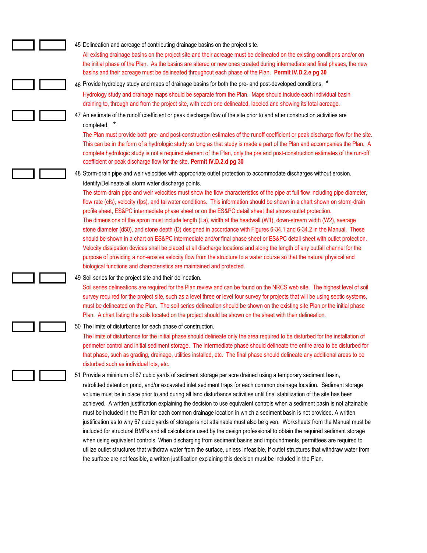45 Delineation and acreage of contributing drainage basins on the project site.

All existing drainage basins on the project site and their acreage must be delineated on the existing conditions and/or on the initial phase of the Plan. As the basins are altered or new ones created during intermediate and final phases, the new basins and their acreage must be delineated throughout each phase of the Plan. **Permit IV.D.2.e pg 30**

#### 46 Provide hydrology study and maps of drainage basins for both the pre- and post-developed conditions. **\***

Hydrology study and drainage maps should be separate from the Plan. Maps should include each individual basin draining to, through and from the project site, with each one delineated, labeled and showing its total acreage.

47 An estimate of the runoff coefficient or peak discharge flow of the site prior to and after construction activities are completed. **\***

The Plan must provide both pre- and post-construction estimates of the runoff coefficient or peak discharge flow for the site. This can be in the form of a hydrologic study so long as that study is made a part of the Plan and accompanies the Plan. A complete hydrologic study is not a required element of the Plan, only the pre and post-construction estimates of the run-off coefficient or peak discharge flow for the site. **Permit IV.D.2.d pg 30**

48 Storm-drain pipe and weir velocities with appropriate outlet protection to accommodate discharges without erosion. Identify/Delineate all storm water discharge points.

The storm-drain pipe and weir velocities must show the flow characteristics of the pipe at full flow including pipe diameter, flow rate (cfs), velocity (fps), and tailwater conditions. This information should be shown in a chart shown on storm-drain profile sheet, ES&PC intermediate phase sheet or on the ES&PC detail sheet that shows outlet protection. The dimensions of the apron must include length (La), width at the headwall (W1), down-stream width (W2), average stone diameter (d50), and stone depth (D) designed in accordance with Figures 6-34.1 and 6-34.2 in the Manual. These should be shown in a chart on ES&PC intermediate and/or final phase sheet or ES&PC detail sheet with outlet protection. Velocity dissipation devices shall be placed at all discharge locations and along the length of any outfall channel for the purpose of providing a non-erosive velocity flow from the structure to a water course so that the natural physical and biological functions and characteristics are maintained and protected.

#### 49 Soil series for the project site and their delineation.

Soil series delineations are required for the Plan review and can be found on the NRCS web site. The highest level of soil survey required for the project site, such as a level three or level four survey for projects that will be using septic systems, must be delineated on the Plan. The soil series delineation should be shown on the existing site Plan or the initial phase Plan. A chart listing the soils located on the project should be shown on the sheet with their delineation.

#### 50 The limits of disturbance for each phase of construction.

The limits of disturbance for the initial phase should delineate only the area required to be disturbed for the installation of perimeter control and initial sediment storage. The intermediate phase should delineate the entire area to be disturbed for that phase, such as grading, drainage, utilities installed, etc. The final phase should delineate any additional areas to be disturbed such as individual lots, etc.

51 Provide a minimum of 67 cubic yards of sediment storage per acre drained using a temporary sediment basin, retrofitted detention pond, and/or excavated inlet sediment traps for each common drainage location. Sediment storage volume must be in place prior to and during all land disturbance activities until final stabilization of the site has been achieved. A written justification explaining the decision to use equivalent controls when a sediment basin is not attainable must be included in the Plan for each common drainage location in which a sediment basin is not provided. A written justification as to why 67 cubic yards of storage is not attainable must also be given. Worksheets from the Manual must be included for structural BMPs and all calculations used by the design professional to obtain the required sediment storage when using equivalent controls. When discharging from sediment basins and impoundments, permittees are required to utilize outlet structures that withdraw water from the surface, unless infeasible. If outlet structures that withdraw water from the surface are not feasible, a written justification explaining this decision must be included in the Plan.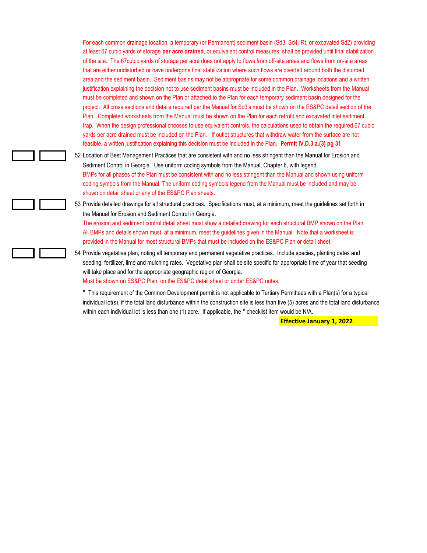For each common drainage location, a temporary (or Permanent) sediment basin (Sd3, Sd4, Rt, or excavated Sd2) providing at least 67 cubic yards of storage **per acre drained**, or equivalent control measures, shall be provided until final stabilization of the site. The 67cubic yards of storage per acre does not apply to flows from off-site areas and flows from on-site areas that are either undisturbed or have undergone final stabilization where such flows are diverted around both the disturbed area and the sediment basin. Sediment basins may not be appropriate for some common drainage locations and a written justification explaining the decision not to use sediment basins must be included in the Plan. Worksheets from the Manual must be completed and shown on the Plan or attached to the Plan for each temporary sediment basin designed for the project. All cross sections and details required per the Manual for Sd3's must be shown on the ES&PC detail section of the Plan. Completed worksheets from the Manual must be shown on the Plan for each retrofit and excavated inlet sediment trap. When the design professional chooses to use equivalent controls, the calculations used to obtain the required 67 cubic yards per acre drained must be included on the Plan. If outlet structures that withdraw water from the surface are not feasible, a written justification explaining this decision must be included in the Plan. **Permit IV.D.3.a.(3) pg 31**

52 Location of Best Management Practices that are consistent with and no less stringent than the Manual for Erosion and Sediment Control in Georgia. Use uniform coding symbols from the Manual, Chapter 6, with legend. BMPs for all phases of the Plan must be consistent with and no less stringent than the Manual and shown using uniform coding symbols from the Manual. The uniform coding symbols legend from the Manual must be included and may be shown on detail sheet or any of the ES&PC Plan sheets.

53 Provide detailed drawings for all structural practices. Specifications must, at a minimum, meet the guidelines set forth in the Manual for Erosion and Sediment Control in Georgia.

The erosion and sediment control detail sheet must show a detailed drawing for each structural BMP shown on the Plan. All BMPs and details shown must, at a minimum, meet the guidelines given in the Manual. Note that a worksheet is provided in the Manual for most structural BMPs that must be included on the ES&PC Plan or detail sheet.

54 Provide vegetative plan, noting all temporary and permanent vegetative practices. Include species, planting dates and seeding, fertilizer, lime and mulching rates. Vegetative plan shall be site specific for appropriate time of year that seeding will take place and for the appropriate geographic region of Georgia. Must be shown on ES&PC Plan, on the ES&PC detail sheet or under ES&PC notes.

**\*** This requirement of the Common Development permit is not applicable to Tertiary Permittees with a Plan(s) for a typical individual lot(s), if the total land disturbance within the construction site is less than five (5) acres and the total land disturbance within each individual lot is less than one (1) acre. If applicable, the **\*** checklist item would be N/A.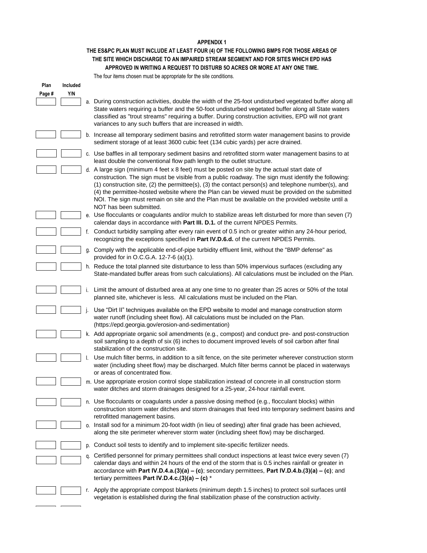#### **APPENDIX 1**

# **THE ES&PC PLAN MUST INCLUDE AT LEAST FOUR (4) OF THE FOLLOWING BMPS FOR THOSE AREAS OF THE SITE WHICH DISCHARGE TO AN IMPAIRED STREAM SEGMENT AND FOR SITES WHICH EPD HAS APPROVED IN WRITING A REQUEST TO DISTURB 5O ACRES OR MORE AT ANY ONE TIME.**

The four items chosen must be appropriate for the site conditions.

| Plan   | Included |    |                                                                                                                                                                                                                                                                                                                                                                                                                                                                                                                                                    |
|--------|----------|----|----------------------------------------------------------------------------------------------------------------------------------------------------------------------------------------------------------------------------------------------------------------------------------------------------------------------------------------------------------------------------------------------------------------------------------------------------------------------------------------------------------------------------------------------------|
| Page # | Y/N      |    |                                                                                                                                                                                                                                                                                                                                                                                                                                                                                                                                                    |
|        |          |    | a. During construction activities, double the width of the 25-foot undisturbed vegetated buffer along all<br>State waters requiring a buffer and the 50-foot undisturbed vegetated buffer along all State waters<br>classified as "trout streams" requiring a buffer. During construction activities, EPD will not grant<br>variances to any such buffers that are increased in width.                                                                                                                                                             |
|        |          |    | b. Increase all temporary sediment basins and retrofitted storm water management basins to provide<br>sediment storage of at least 3600 cubic feet (134 cubic yards) per acre drained.                                                                                                                                                                                                                                                                                                                                                             |
|        |          |    | c. Use baffles in all temporary sediment basins and retrofitted storm water management basins to at<br>least double the conventional flow path length to the outlet structure.                                                                                                                                                                                                                                                                                                                                                                     |
|        |          |    | d. A large sign (minimum 4 feet x 8 feet) must be posted on site by the actual start date of<br>construction. The sign must be visible from a public roadway. The sign must identify the following:<br>$(1)$ construction site, $(2)$ the permittee(s), $(3)$ the contact person(s) and telephone number(s), and<br>(4) the permittee-hosted website where the Plan can be viewed must be provided on the submitted<br>NOI. The sign must remain on site and the Plan must be available on the provided website until a<br>NOT has been submitted. |
|        |          |    | e. Use flocculants or coagulants and/or mulch to stabilize areas left disturbed for more than seven (7)<br>calendar days in accordance with Part III. D.1. of the current NPDES Permits.                                                                                                                                                                                                                                                                                                                                                           |
|        |          | f. | Conduct turbidity sampling after every rain event of 0.5 inch or greater within any 24-hour period,<br>recognizing the exceptions specified in Part IV.D.6.d. of the current NPDES Permits.                                                                                                                                                                                                                                                                                                                                                        |
|        |          | q. | Comply with the applicable end-of-pipe turbidity effluent limit, without the "BMP defense" as<br>provided for in O.C.G.A. 12-7-6 (a)(1).                                                                                                                                                                                                                                                                                                                                                                                                           |
|        |          |    | h. Reduce the total planned site disturbance to less than 50% impervious surfaces (excluding any<br>State-mandated buffer areas from such calculations). All calculations must be included on the Plan.                                                                                                                                                                                                                                                                                                                                            |
|        |          |    | Limit the amount of disturbed area at any one time to no greater than 25 acres or 50% of the total<br>planned site, whichever is less. All calculations must be included on the Plan.                                                                                                                                                                                                                                                                                                                                                              |
|        |          |    | Use "Dirt II" techniques available on the EPD website to model and manage construction storm<br>water runoff (including sheet flow). All calculations must be included on the Plan.<br>(https://epd.georgia.gov/erosion-and-sedimentation)                                                                                                                                                                                                                                                                                                         |
|        |          |    | k. Add appropriate organic soil amendments (e.g., compost) and conduct pre- and post-construction<br>soil sampling to a depth of six (6) inches to document improved levels of soil carbon after final<br>stabilization of the construction site.                                                                                                                                                                                                                                                                                                  |
|        |          |    | Use mulch filter berms, in addition to a silt fence, on the site perimeter wherever construction storm<br>water (including sheet flow) may be discharged. Mulch filter berms cannot be placed in waterways<br>or areas of concentrated flow.                                                                                                                                                                                                                                                                                                       |
|        |          |    | m. Use appropriate erosion control slope stabilization instead of concrete in all construction storm<br>water ditches and storm drainages designed for a 25-year, 24-hour rainfall event.                                                                                                                                                                                                                                                                                                                                                          |
|        |          |    | n. Use flocculants or coagulants under a passive dosing method (e.g., flocculant blocks) within<br>construction storm water ditches and storm drainages that feed into temporary sediment basins and<br>retrofitted management basins.                                                                                                                                                                                                                                                                                                             |
|        |          | 0. | Install sod for a minimum 20-foot width (in lieu of seeding) after final grade has been achieved,<br>along the site perimeter wherever storm water (including sheet flow) may be discharged.                                                                                                                                                                                                                                                                                                                                                       |
|        |          | p. | Conduct soil tests to identify and to implement site-specific fertilizer needs.                                                                                                                                                                                                                                                                                                                                                                                                                                                                    |
|        |          | q. | Certified personnel for primary permittees shall conduct inspections at least twice every seven (7)<br>calendar days and within 24 hours of the end of the storm that is 0.5 inches rainfall or greater in<br>accordance with Part IV.D.4.a. $(3)(a) - (c)$ ; secondary permittees, Part IV.D.4.b. $(3)(a) - (c)$ ; and<br>tertiary permittees Part IV.D.4.c.(3)(a) - (c) $*$                                                                                                                                                                      |
|        |          | r. | Apply the appropriate compost blankets (minimum depth 1.5 inches) to protect soil surfaces until<br>vegetation is established during the final stabilization phase of the construction activity.                                                                                                                                                                                                                                                                                                                                                   |

 $\overline{\phantom{0}}$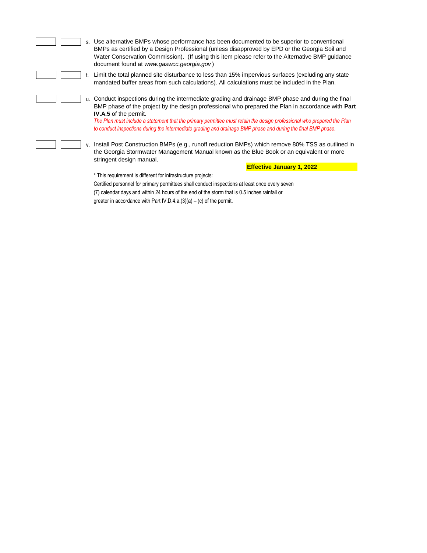| s. Use alternative BMPs whose performance has been documented to be superior to conventional<br>BMPs as certified by a Design Professional (unless disapproved by EPD or the Georgia Soil and<br>Water Conservation Commission). (If using this item please refer to the Alternative BMP guidance<br>document found at www.gaswcc.georgia.gov)                                                                                                                                     |  |
|------------------------------------------------------------------------------------------------------------------------------------------------------------------------------------------------------------------------------------------------------------------------------------------------------------------------------------------------------------------------------------------------------------------------------------------------------------------------------------|--|
| Limit the total planned site disturbance to less than 15% impervious surfaces (excluding any state<br>mandated buffer areas from such calculations). All calculations must be included in the Plan.                                                                                                                                                                                                                                                                                |  |
| u. Conduct inspections during the intermediate grading and drainage BMP phase and during the final<br>BMP phase of the project by the design professional who prepared the Plan in accordance with Part<br><b>IV.A.5</b> of the permit.<br>The Plan must include a statement that the primary permittee must retain the design professional who prepared the Plan<br>to conduct inspections during the intermediate grading and drainage BMP phase and during the final BMP phase. |  |
| v. Install Post Construction BMPs (e.g., runoff reduction BMPs) which remove 80% TSS as outlined in<br>the Georgia Stormwater Management Manual known as the Blue Book or an equivalent or more<br>stringent design manual.                                                                                                                                                                                                                                                        |  |
| <b>Effective January 1, 2022</b>                                                                                                                                                                                                                                                                                                                                                                                                                                                   |  |
| * This requirement is different for infrastructure projects:                                                                                                                                                                                                                                                                                                                                                                                                                       |  |
| Certified personnel for primary permittees shall conduct inspections at least once every seven                                                                                                                                                                                                                                                                                                                                                                                     |  |
| (7) calendar days and within 24 hours of the end of the storm that is 0.5 inches rainfall or                                                                                                                                                                                                                                                                                                                                                                                       |  |
| greater in accordance with Part IV.D.4.a. $(3)(a) - (c)$ of the permit.                                                                                                                                                                                                                                                                                                                                                                                                            |  |